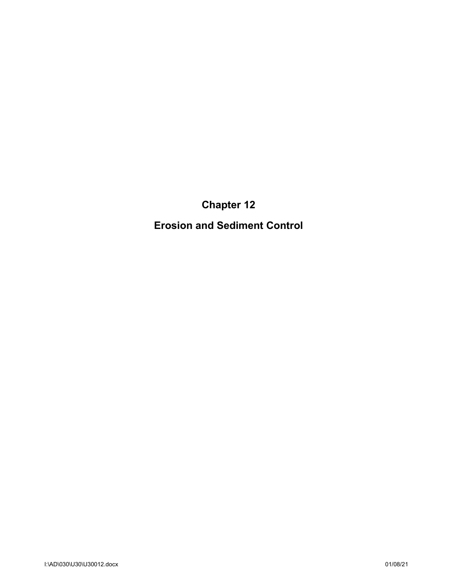**Chapter 12**

**Erosion and Sediment Control**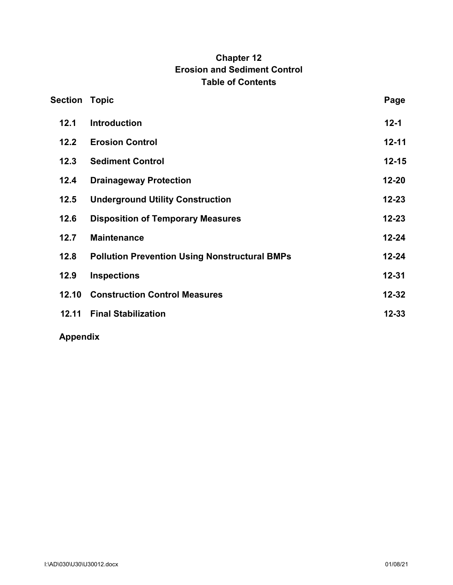# **Chapter 12 Erosion and Sediment Control Table of Contents**

| <b>Section Topic</b> |                                                      | Page      |
|----------------------|------------------------------------------------------|-----------|
| 12.1                 | <b>Introduction</b>                                  | $12 - 1$  |
| $12.2$               | <b>Erosion Control</b>                               | $12 - 11$ |
| 12.3                 | <b>Sediment Control</b>                              | $12 - 15$ |
| 12.4                 | <b>Drainageway Protection</b>                        | $12 - 20$ |
| 12.5                 | <b>Underground Utility Construction</b>              | $12 - 23$ |
| 12.6                 | <b>Disposition of Temporary Measures</b>             | $12 - 23$ |
| 12.7                 | <b>Maintenance</b>                                   | $12 - 24$ |
| 12.8                 | <b>Pollution Prevention Using Nonstructural BMPs</b> | $12 - 24$ |
| 12.9                 | <b>Inspections</b>                                   | $12 - 31$ |
| 12.10                | <b>Construction Control Measures</b>                 | $12 - 32$ |
| 12.11                | <b>Final Stabilization</b>                           | $12 - 33$ |
|                      |                                                      |           |

**Appendix**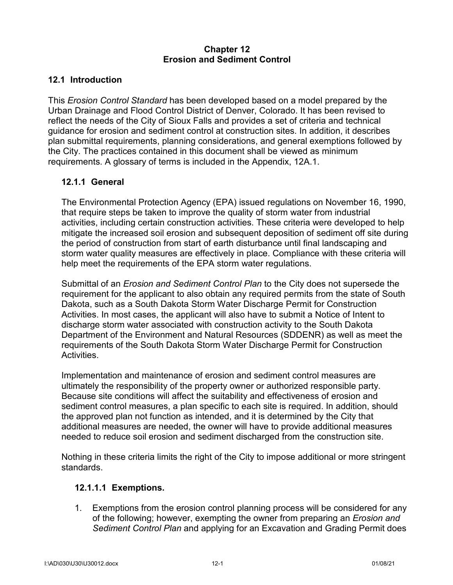#### **Chapter 12 Erosion and Sediment Control**

## **12.1 Introduction**

This *Erosion Control Standard* has been developed based on a model prepared by the Urban Drainage and Flood Control District of Denver, Colorado. It has been revised to reflect the needs of the City of Sioux Falls and provides a set of criteria and technical guidance for erosion and sediment control at construction sites. In addition, it describes plan submittal requirements, planning considerations, and general exemptions followed by the City. The practices contained in this document shall be viewed as minimum requirements. A glossary of terms is included in the Appendix, 12A.1.

## **12.1.1 General**

The Environmental Protection Agency (EPA) issued regulations on November 16, 1990, that require steps be taken to improve the quality of storm water from industrial activities, including certain construction activities. These criteria were developed to help mitigate the increased soil erosion and subsequent deposition of sediment off site during the period of construction from start of earth disturbance until final landscaping and storm water quality measures are effectively in place. Compliance with these criteria will help meet the requirements of the EPA storm water regulations.

Submittal of an *Erosion and Sediment Control Plan* to the City does not supersede the requirement for the applicant to also obtain any required permits from the state of South Dakota, such as a South Dakota Storm Water Discharge Permit for Construction Activities. In most cases, the applicant will also have to submit a Notice of Intent to discharge storm water associated with construction activity to the South Dakota Department of the Environment and Natural Resources (SDDENR) as well as meet the requirements of the South Dakota Storm Water Discharge Permit for Construction **Activities** 

Implementation and maintenance of erosion and sediment control measures are ultimately the responsibility of the property owner or authorized responsible party. Because site conditions will affect the suitability and effectiveness of erosion and sediment control measures, a plan specific to each site is required. In addition, should the approved plan not function as intended, and it is determined by the City that additional measures are needed, the owner will have to provide additional measures needed to reduce soil erosion and sediment discharged from the construction site.

Nothing in these criteria limits the right of the City to impose additional or more stringent standards.

#### **12.1.1.1 Exemptions.**

1. Exemptions from the erosion control planning process will be considered for any of the following; however, exempting the owner from preparing an *Erosion and Sediment Control Plan* and applying for an Excavation and Grading Permit does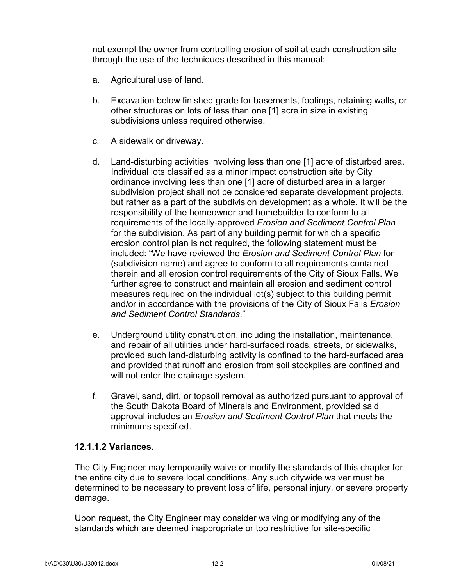not exempt the owner from controlling erosion of soil at each construction site through the use of the techniques described in this manual:

- a. Agricultural use of land.
- b. Excavation below finished grade for basements, footings, retaining walls, or other structures on lots of less than one [1] acre in size in existing subdivisions unless required otherwise.
- c. A sidewalk or driveway.
- d. Land-disturbing activities involving less than one [1] acre of disturbed area. Individual lots classified as a minor impact construction site by City ordinance involving less than one [1] acre of disturbed area in a larger subdivision project shall not be considered separate development projects, but rather as a part of the subdivision development as a whole. It will be the responsibility of the homeowner and homebuilder to conform to all requirements of the locally-approved *Erosion and Sediment Control Plan*  for the subdivision. As part of any building permit for which a specific erosion control plan is not required, the following statement must be included: "We have reviewed the *Erosion and Sediment Control Plan* for (subdivision name) and agree to conform to all requirements contained therein and all erosion control requirements of the City of Sioux Falls. We further agree to construct and maintain all erosion and sediment control measures required on the individual lot(s) subject to this building permit and/or in accordance with the provisions of the City of Sioux Falls *Erosion and Sediment Control Standards*."
- e. Underground utility construction, including the installation, maintenance, and repair of all utilities under hard-surfaced roads, streets, or sidewalks, provided such land-disturbing activity is confined to the hard-surfaced area and provided that runoff and erosion from soil stockpiles are confined and will not enter the drainage system.
- f. Gravel, sand, dirt, or topsoil removal as authorized pursuant to approval of the South Dakota Board of Minerals and Environment, provided said approval includes an *Erosion and Sediment Control Plan* that meets the minimums specified.

#### **12.1.1.2 Variances.**

The City Engineer may temporarily waive or modify the standards of this chapter for the entire city due to severe local conditions. Any such citywide waiver must be determined to be necessary to prevent loss of life, personal injury, or severe property damage.

Upon request, the City Engineer may consider waiving or modifying any of the standards which are deemed inappropriate or too restrictive for site-specific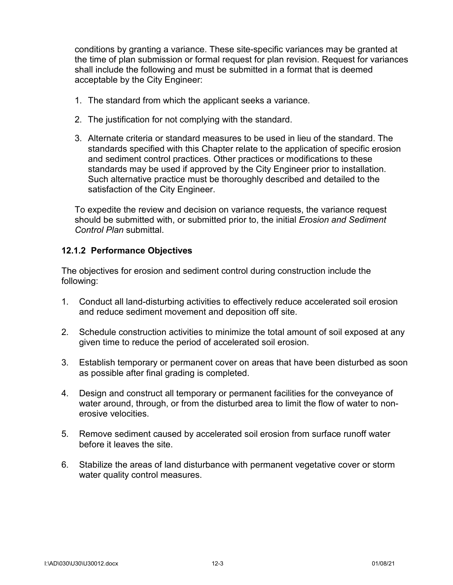conditions by granting a variance. These site-specific variances may be granted at the time of plan submission or formal request for plan revision. Request for variances shall include the following and must be submitted in a format that is deemed acceptable by the City Engineer:

- 1. The standard from which the applicant seeks a variance.
- 2. The justification for not complying with the standard.
- 3. Alternate criteria or standard measures to be used in lieu of the standard. The standards specified with this Chapter relate to the application of specific erosion and sediment control practices. Other practices or modifications to these standards may be used if approved by the City Engineer prior to installation. Such alternative practice must be thoroughly described and detailed to the satisfaction of the City Engineer.

To expedite the review and decision on variance requests, the variance request should be submitted with, or submitted prior to, the initial *Erosion and Sediment Control Plan* submittal.

#### **12.1.2 Performance Objectives**

The objectives for erosion and sediment control during construction include the following:

- 1. Conduct all land-disturbing activities to effectively reduce accelerated soil erosion and reduce sediment movement and deposition off site.
- 2. Schedule construction activities to minimize the total amount of soil exposed at any given time to reduce the period of accelerated soil erosion.
- 3. Establish temporary or permanent cover on areas that have been disturbed as soon as possible after final grading is completed.
- 4. Design and construct all temporary or permanent facilities for the conveyance of water around, through, or from the disturbed area to limit the flow of water to nonerosive velocities.
- 5. Remove sediment caused by accelerated soil erosion from surface runoff water before it leaves the site.
- 6. Stabilize the areas of land disturbance with permanent vegetative cover or storm water quality control measures.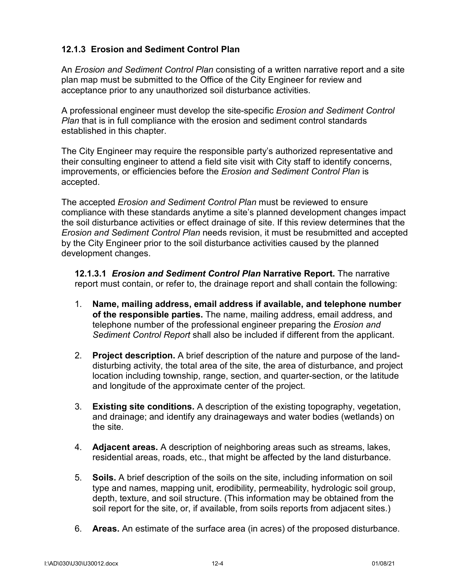## **12.1.3 Erosion and Sediment Control Plan**

An *Erosion and Sediment Control Plan* consisting of a written narrative report and a site plan map must be submitted to the Office of the City Engineer for review and acceptance prior to any unauthorized soil disturbance activities.

A professional engineer must develop the site-specific *Erosion and Sediment Control Plan* that is in full compliance with the erosion and sediment control standards established in this chapter.

The City Engineer may require the responsible party's authorized representative and their consulting engineer to attend a field site visit with City staff to identify concerns, improvements, or efficiencies before the *Erosion and Sediment Control Plan* is accepted.

The accepted *Erosion and Sediment Control Plan* must be reviewed to ensure compliance with these standards anytime a site's planned development changes impact the soil disturbance activities or effect drainage of site. If this review determines that the *Erosion and Sediment Control Plan* needs revision, it must be resubmitted and accepted by the City Engineer prior to the soil disturbance activities caused by the planned development changes.

**12.1.3.1** *Erosion and Sediment Control Plan* **Narrative Report.** The narrative report must contain, or refer to, the drainage report and shall contain the following:

- 1. **Name, mailing address, email address if available, and telephone number of the responsible parties.** The name, mailing address, email address, and telephone number of the professional engineer preparing the *Erosion and Sediment Control Report* shall also be included if different from the applicant.
- 2. **Project description.** A brief description of the nature and purpose of the landdisturbing activity, the total area of the site, the area of disturbance, and project location including township, range, section, and quarter-section, or the latitude and longitude of the approximate center of the project.
- 3. **Existing site conditions.** A description of the existing topography, vegetation, and drainage; and identify any drainageways and water bodies (wetlands) on the site.
- 4. **Adjacent areas.** A description of neighboring areas such as streams, lakes, residential areas, roads, etc., that might be affected by the land disturbance.
- 5. **Soils.** A brief description of the soils on the site, including information on soil type and names, mapping unit, erodibility, permeability, hydrologic soil group, depth, texture, and soil structure. (This information may be obtained from the soil report for the site, or, if available, from soils reports from adjacent sites.)
- 6. **Areas.** An estimate of the surface area (in acres) of the proposed disturbance.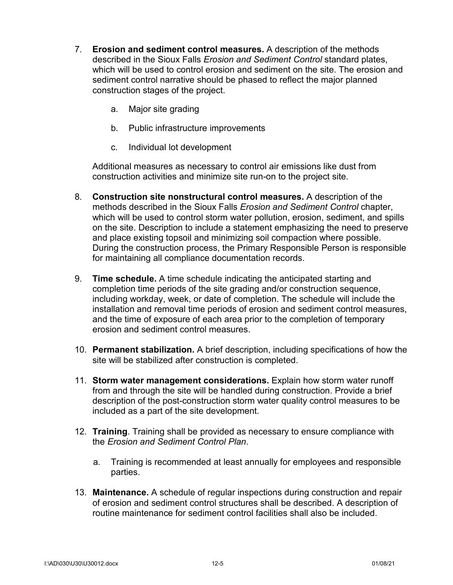- 7. **Erosion and sediment control measures.** A description of the methods described in the Sioux Falls *Erosion and Sediment Control* standard plates, which will be used to control erosion and sediment on the site. The erosion and sediment control narrative should be phased to reflect the major planned construction stages of the project.
	- a. Major site grading
	- b. Public infrastructure improvements
	- c. Individual lot development

Additional measures as necessary to control air emissions like dust from construction activities and minimize site run-on to the project site.

- 8. **Construction site nonstructural control measures.** A description of the methods described in the Sioux Falls *Erosion and Sediment Control* chapter, which will be used to control storm water pollution, erosion, sediment, and spills on the site. Description to include a statement emphasizing the need to preserve and place existing topsoil and minimizing soil compaction where possible. During the construction process, the Primary Responsible Person is responsible for maintaining all compliance documentation records.
- 9. **Time schedule.** A time schedule indicating the anticipated starting and completion time periods of the site grading and/or construction sequence, including workday, week, or date of completion. The schedule will include the installation and removal time periods of erosion and sediment control measures, and the time of exposure of each area prior to the completion of temporary erosion and sediment control measures.
- 10. **Permanent stabilization.** A brief description, including specifications of how the site will be stabilized after construction is completed.
- 11. **Storm water management considerations.** Explain how storm water runoff from and through the site will be handled during construction. Provide a brief description of the post-construction storm water quality control measures to be included as a part of the site development.
- 12. **Training**. Training shall be provided as necessary to ensure compliance with the *Erosion and Sediment Control Plan*.
	- a. Training is recommended at least annually for employees and responsible parties.
- 13. **Maintenance.** A schedule of regular inspections during construction and repair of erosion and sediment control structures shall be described. A description of routine maintenance for sediment control facilities shall also be included.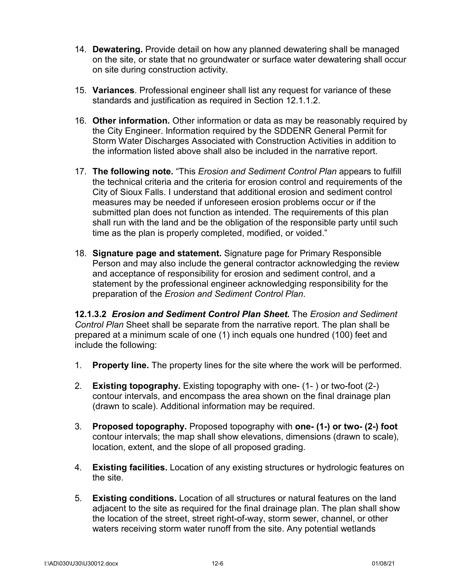- 14. **Dewatering.** Provide detail on how any planned dewatering shall be managed on the site, or state that no groundwater or surface water dewatering shall occur on site during construction activity.
- 15. **Variances**. Professional engineer shall list any request for variance of these standards and justification as required in Section 12.1.1.2.
- 16. **Other information.** Other information or data as may be reasonably required by the City Engineer. Information required by the SDDENR General Permit for Storm Water Discharges Associated with Construction Activities in addition to the information listed above shall also be included in the narrative report.
- 17. **The following note.** "This *Erosion and Sediment Control Plan* appears to fulfill the technical criteria and the criteria for erosion control and requirements of the City of Sioux Falls. I understand that additional erosion and sediment control measures may be needed if unforeseen erosion problems occur or if the submitted plan does not function as intended. The requirements of this plan shall run with the land and be the obligation of the responsible party until such time as the plan is properly completed, modified, or voided."
- 18. **Signature page and statement.** Signature page for Primary Responsible Person and may also include the general contractor acknowledging the review and acceptance of responsibility for erosion and sediment control, and a statement by the professional engineer acknowledging responsibility for the preparation of the *Erosion and Sediment Control Plan*.

**12.1.3.2** *Erosion and Sediment Control Plan Sheet.* The *Erosion and Sediment Control Plan* Sheet shall be separate from the narrative report. The plan shall be prepared at a minimum scale of one (1) inch equals one hundred (100) feet and include the following:

- 1. **Property line.** The property lines for the site where the work will be performed.
- 2. **Existing topography.** Existing topography with one- (1- ) or two-foot (2-) contour intervals, and encompass the area shown on the final drainage plan (drawn to scale). Additional information may be required.
- 3. **Proposed topography.** Proposed topography with **one- (1-) or two- (2-) foot**  contour intervals; the map shall show elevations, dimensions (drawn to scale), location, extent, and the slope of all proposed grading.
- 4. **Existing facilities.** Location of any existing structures or hydrologic features on the site.
- 5. **Existing conditions.** Location of all structures or natural features on the land adjacent to the site as required for the final drainage plan. The plan shall show the location of the street, street right-of-way, storm sewer, channel, or other waters receiving storm water runoff from the site. Any potential wetlands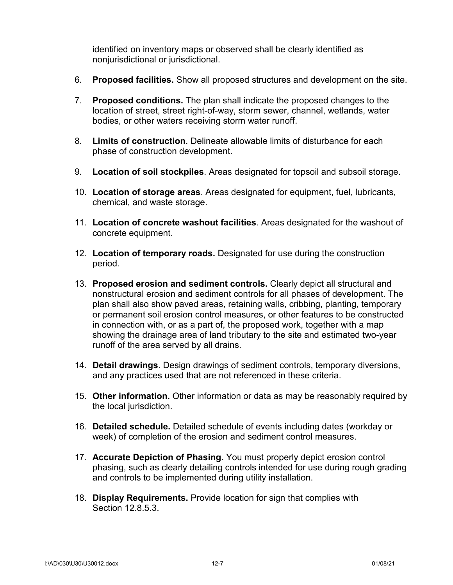identified on inventory maps or observed shall be clearly identified as nonjurisdictional or jurisdictional.

- 6. **Proposed facilities.** Show all proposed structures and development on the site.
- 7. **Proposed conditions.** The plan shall indicate the proposed changes to the location of street, street right-of-way, storm sewer, channel, wetlands, water bodies, or other waters receiving storm water runoff.
- 8. **Limits of construction**. Delineate allowable limits of disturbance for each phase of construction development.
- 9. **Location of soil stockpiles**. Areas designated for topsoil and subsoil storage.
- 10. **Location of storage areas**. Areas designated for equipment, fuel, lubricants, chemical, and waste storage.
- 11. **Location of concrete washout facilities**. Areas designated for the washout of concrete equipment.
- 12. **Location of temporary roads.** Designated for use during the construction period.
- 13. **Proposed erosion and sediment controls.** Clearly depict all structural and nonstructural erosion and sediment controls for all phases of development. The plan shall also show paved areas, retaining walls, cribbing, planting, temporary or permanent soil erosion control measures, or other features to be constructed in connection with, or as a part of, the proposed work, together with a map showing the drainage area of land tributary to the site and estimated two-year runoff of the area served by all drains.
- 14. **Detail drawings**. Design drawings of sediment controls, temporary diversions, and any practices used that are not referenced in these criteria.
- 15. **Other information.** Other information or data as may be reasonably required by the local jurisdiction.
- 16. **Detailed schedule.** Detailed schedule of events including dates (workday or week) of completion of the erosion and sediment control measures.
- 17. **Accurate Depiction of Phasing.** You must properly depict erosion control phasing, such as clearly detailing controls intended for use during rough grading and controls to be implemented during utility installation.
- 18. **Display Requirements.** Provide location for sign that complies with Section 12.8.5.3.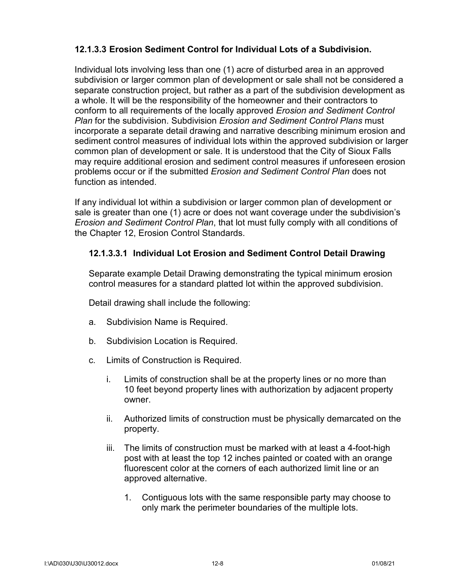## **12.1.3.3 Erosion Sediment Control for Individual Lots of a Subdivision.**

Individual lots involving less than one (1) acre of disturbed area in an approved subdivision or larger common plan of development or sale shall not be considered a separate construction project, but rather as a part of the subdivision development as a whole. It will be the responsibility of the homeowner and their contractors to conform to all requirements of the locally approved *Erosion and Sediment Control Plan* for the subdivision. Subdivision *Erosion and Sediment Control Plans* must incorporate a separate detail drawing and narrative describing minimum erosion and sediment control measures of individual lots within the approved subdivision or larger common plan of development or sale. It is understood that the City of Sioux Falls may require additional erosion and sediment control measures if unforeseen erosion problems occur or if the submitted *Erosion and Sediment Control Plan* does not function as intended.

If any individual lot within a subdivision or larger common plan of development or sale is greater than one (1) acre or does not want coverage under the subdivision's *Erosion and Sediment Control Plan*, that lot must fully comply with all conditions of the Chapter 12, Erosion Control Standards.

#### **12.1.3.3.1 Individual Lot Erosion and Sediment Control Detail Drawing**

Separate example Detail Drawing demonstrating the typical minimum erosion control measures for a standard platted lot within the approved subdivision.

Detail drawing shall include the following:

- a. Subdivision Name is Required.
- b. Subdivision Location is Required.
- c. Limits of Construction is Required.
	- i. Limits of construction shall be at the property lines or no more than 10 feet beyond property lines with authorization by adjacent property owner.
	- ii. Authorized limits of construction must be physically demarcated on the property.
	- iii. The limits of construction must be marked with at least a 4-foot-high post with at least the top 12 inches painted or coated with an orange fluorescent color at the corners of each authorized limit line or an approved alternative.
		- 1. Contiguous lots with the same responsible party may choose to only mark the perimeter boundaries of the multiple lots.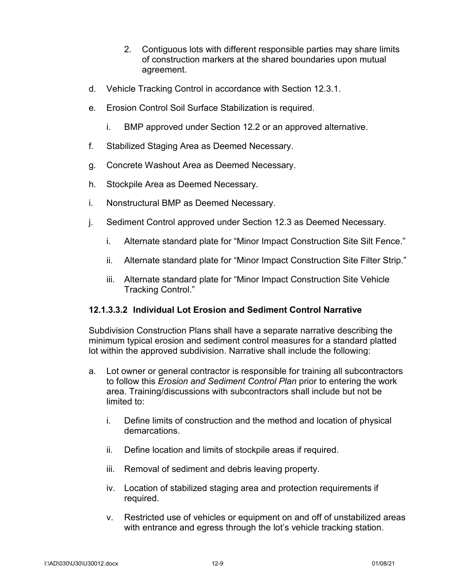- 2. Contiguous lots with different responsible parties may share limits of construction markers at the shared boundaries upon mutual agreement.
- d. Vehicle Tracking Control in accordance with Section 12.3.1.
- e. Erosion Control Soil Surface Stabilization is required.
	- i. BMP approved under Section 12.2 or an approved alternative.
- f. Stabilized Staging Area as Deemed Necessary.
- g. Concrete Washout Area as Deemed Necessary.
- h. Stockpile Area as Deemed Necessary.
- i. Nonstructural BMP as Deemed Necessary.
- j. Sediment Control approved under Section 12.3 as Deemed Necessary.
	- i. Alternate standard plate for "Minor Impact Construction Site Silt Fence."
	- ii. Alternate standard plate for "Minor Impact Construction Site Filter Strip."
	- iii. Alternate standard plate for "Minor Impact Construction Site Vehicle Tracking Control."

#### **12.1.3.3.2 Individual Lot Erosion and Sediment Control Narrative**

Subdivision Construction Plans shall have a separate narrative describing the minimum typical erosion and sediment control measures for a standard platted lot within the approved subdivision. Narrative shall include the following:

- a. Lot owner or general contractor is responsible for training all subcontractors to follow this *Erosion and Sediment Control Plan* prior to entering the work area. Training/discussions with subcontractors shall include but not be limited to:
	- i. Define limits of construction and the method and location of physical demarcations.
	- ii. Define location and limits of stockpile areas if required.
	- iii. Removal of sediment and debris leaving property.
	- iv. Location of stabilized staging area and protection requirements if required.
	- v. Restricted use of vehicles or equipment on and off of unstabilized areas with entrance and egress through the lot's vehicle tracking station.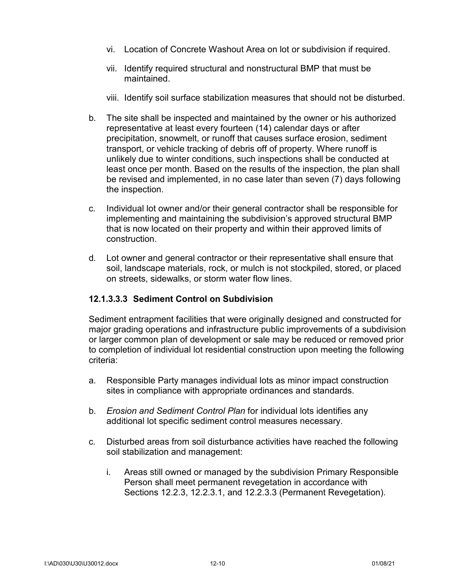- vi. Location of Concrete Washout Area on lot or subdivision if required.
- vii. Identify required structural and nonstructural BMP that must be maintained.
- viii. Identify soil surface stabilization measures that should not be disturbed.
- b. The site shall be inspected and maintained by the owner or his authorized representative at least every fourteen (14) calendar days or after precipitation, snowmelt, or runoff that causes surface erosion, sediment transport, or vehicle tracking of debris off of property. Where runoff is unlikely due to winter conditions, such inspections shall be conducted at least once per month. Based on the results of the inspection, the plan shall be revised and implemented, in no case later than seven (7) days following the inspection.
- c. Individual lot owner and/or their general contractor shall be responsible for implementing and maintaining the subdivision's approved structural BMP that is now located on their property and within their approved limits of construction.
- d. Lot owner and general contractor or their representative shall ensure that soil, landscape materials, rock, or mulch is not stockpiled, stored, or placed on streets, sidewalks, or storm water flow lines.

#### **12.1.3.3.3 Sediment Control on Subdivision**

Sediment entrapment facilities that were originally designed and constructed for major grading operations and infrastructure public improvements of a subdivision or larger common plan of development or sale may be reduced or removed prior to completion of individual lot residential construction upon meeting the following criteria:

- a. Responsible Party manages individual lots as minor impact construction sites in compliance with appropriate ordinances and standards.
- b. *Erosion and Sediment Control Plan* for individual lots identifies any additional lot specific sediment control measures necessary.
- c. Disturbed areas from soil disturbance activities have reached the following soil stabilization and management:
	- i. Areas still owned or managed by the subdivision Primary Responsible Person shall meet permanent revegetation in accordance with Sections 12.2.3, 12.2.3.1, and 12.2.3.3 (Permanent Revegetation).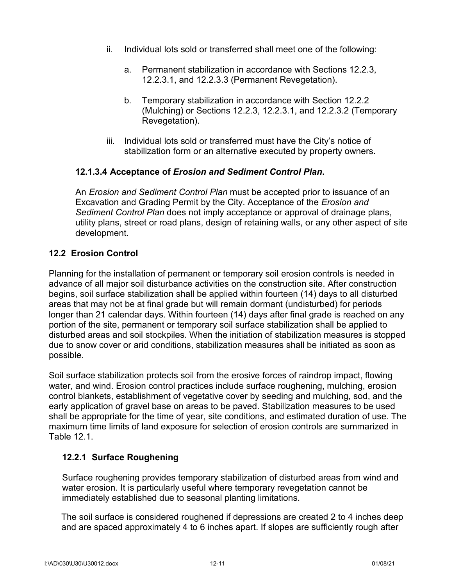- ii. Individual lots sold or transferred shall meet one of the following:
	- a. Permanent stabilization in accordance with Sections 12.2.3, 12.2.3.1, and 12.2.3.3 (Permanent Revegetation).
	- b. Temporary stabilization in accordance with Section 12.2.2 (Mulching) or Sections 12.2.3, 12.2.3.1, and 12.2.3.2 (Temporary Revegetation).
- iii. Individual lots sold or transferred must have the City's notice of stabilization form or an alternative executed by property owners.

#### **12.1.3.4 Acceptance of** *Erosion and Sediment Control Plan***.**

An *Erosion and Sediment Control Plan* must be accepted prior to issuance of an Excavation and Grading Permit by the City. Acceptance of the *Erosion and Sediment Control Plan* does not imply acceptance or approval of drainage plans, utility plans, street or road plans, design of retaining walls, or any other aspect of site development.

## **12.2 Erosion Control**

Planning for the installation of permanent or temporary soil erosion controls is needed in advance of all major soil disturbance activities on the construction site. After construction begins, soil surface stabilization shall be applied within fourteen (14) days to all disturbed areas that may not be at final grade but will remain dormant (undisturbed) for periods longer than 21 calendar days. Within fourteen (14) days after final grade is reached on any portion of the site, permanent or temporary soil surface stabilization shall be applied to disturbed areas and soil stockpiles. When the initiation of stabilization measures is stopped due to snow cover or arid conditions, stabilization measures shall be initiated as soon as possible.

Soil surface stabilization protects soil from the erosive forces of raindrop impact, flowing water, and wind. Erosion control practices include surface roughening, mulching, erosion control blankets, establishment of vegetative cover by seeding and mulching, sod, and the early application of gravel base on areas to be paved. Stabilization measures to be used shall be appropriate for the time of year, site conditions, and estimated duration of use. The maximum time limits of land exposure for selection of erosion controls are summarized in Table 12.1.

#### **12.2.1 Surface Roughening**

Surface roughening provides temporary stabilization of disturbed areas from wind and water erosion. It is particularly useful where temporary revegetation cannot be immediately established due to seasonal planting limitations.

The soil surface is considered roughened if depressions are created 2 to 4 inches deep and are spaced approximately 4 to 6 inches apart. If slopes are sufficiently rough after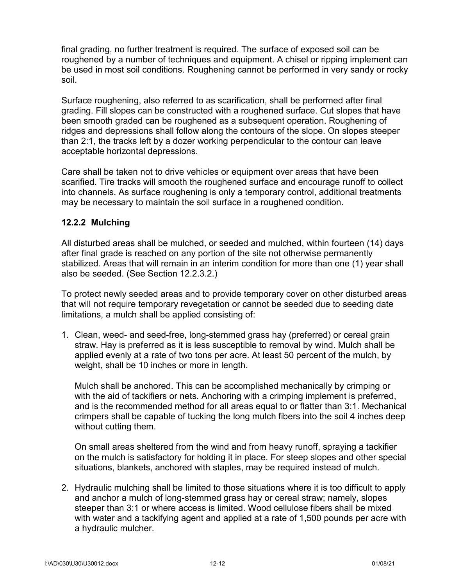final grading, no further treatment is required. The surface of exposed soil can be roughened by a number of techniques and equipment. A chisel or ripping implement can be used in most soil conditions. Roughening cannot be performed in very sandy or rocky soil.

Surface roughening, also referred to as scarification, shall be performed after final grading. Fill slopes can be constructed with a roughened surface. Cut slopes that have been smooth graded can be roughened as a subsequent operation. Roughening of ridges and depressions shall follow along the contours of the slope. On slopes steeper than 2:1, the tracks left by a dozer working perpendicular to the contour can leave acceptable horizontal depressions.

Care shall be taken not to drive vehicles or equipment over areas that have been scarified. Tire tracks will smooth the roughened surface and encourage runoff to collect into channels. As surface roughening is only a temporary control, additional treatments may be necessary to maintain the soil surface in a roughened condition.

#### **12.2.2 Mulching**

All disturbed areas shall be mulched, or seeded and mulched, within fourteen (14) days after final grade is reached on any portion of the site not otherwise permanently stabilized. Areas that will remain in an interim condition for more than one (1) year shall also be seeded. (See Section 12.2.3.2.)

To protect newly seeded areas and to provide temporary cover on other disturbed areas that will not require temporary revegetation or cannot be seeded due to seeding date limitations, a mulch shall be applied consisting of:

1. Clean, weed- and seed-free, long-stemmed grass hay (preferred) or cereal grain straw. Hay is preferred as it is less susceptible to removal by wind. Mulch shall be applied evenly at a rate of two tons per acre. At least 50 percent of the mulch, by weight, shall be 10 inches or more in length.

Mulch shall be anchored. This can be accomplished mechanically by crimping or with the aid of tackifiers or nets. Anchoring with a crimping implement is preferred, and is the recommended method for all areas equal to or flatter than 3:1. Mechanical crimpers shall be capable of tucking the long mulch fibers into the soil 4 inches deep without cutting them.

On small areas sheltered from the wind and from heavy runoff, spraying a tackifier on the mulch is satisfactory for holding it in place. For steep slopes and other special situations, blankets, anchored with staples, may be required instead of mulch.

2. Hydraulic mulching shall be limited to those situations where it is too difficult to apply and anchor a mulch of long-stemmed grass hay or cereal straw; namely, slopes steeper than 3:1 or where access is limited. Wood cellulose fibers shall be mixed with water and a tackifying agent and applied at a rate of 1,500 pounds per acre with a hydraulic mulcher.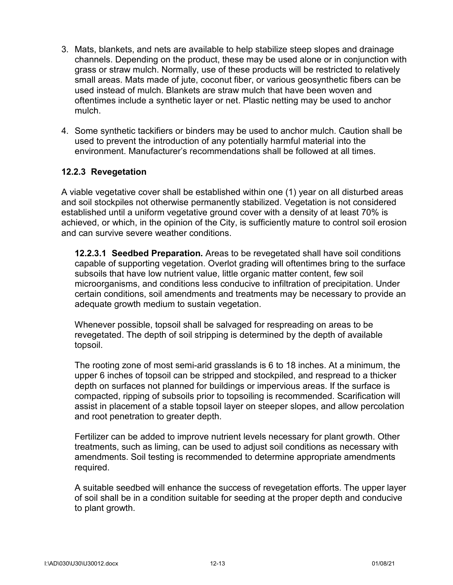- 3. Mats, blankets, and nets are available to help stabilize steep slopes and drainage channels. Depending on the product, these may be used alone or in conjunction with grass or straw mulch. Normally, use of these products will be restricted to relatively small areas. Mats made of jute, coconut fiber, or various geosynthetic fibers can be used instead of mulch. Blankets are straw mulch that have been woven and oftentimes include a synthetic layer or net. Plastic netting may be used to anchor mulch.
- 4. Some synthetic tackifiers or binders may be used to anchor mulch. Caution shall be used to prevent the introduction of any potentially harmful material into the environment. Manufacturer's recommendations shall be followed at all times.

#### **12.2.3 Revegetation**

A viable vegetative cover shall be established within one (1) year on all disturbed areas and soil stockpiles not otherwise permanently stabilized. Vegetation is not considered established until a uniform vegetative ground cover with a density of at least 70% is achieved, or which, in the opinion of the City, is sufficiently mature to control soil erosion and can survive severe weather conditions.

**12.2.3.1 Seedbed Preparation.** Areas to be revegetated shall have soil conditions capable of supporting vegetation. Overlot grading will oftentimes bring to the surface subsoils that have low nutrient value, little organic matter content, few soil microorganisms, and conditions less conducive to infiltration of precipitation. Under certain conditions, soil amendments and treatments may be necessary to provide an adequate growth medium to sustain vegetation.

Whenever possible, topsoil shall be salvaged for respreading on areas to be revegetated. The depth of soil stripping is determined by the depth of available topsoil.

The rooting zone of most semi-arid grasslands is 6 to 18 inches. At a minimum, the upper 6 inches of topsoil can be stripped and stockpiled, and respread to a thicker depth on surfaces not planned for buildings or impervious areas. If the surface is compacted, ripping of subsoils prior to topsoiling is recommended. Scarification will assist in placement of a stable topsoil layer on steeper slopes, and allow percolation and root penetration to greater depth.

Fertilizer can be added to improve nutrient levels necessary for plant growth. Other treatments, such as liming, can be used to adjust soil conditions as necessary with amendments. Soil testing is recommended to determine appropriate amendments required.

A suitable seedbed will enhance the success of revegetation efforts. The upper layer of soil shall be in a condition suitable for seeding at the proper depth and conducive to plant growth.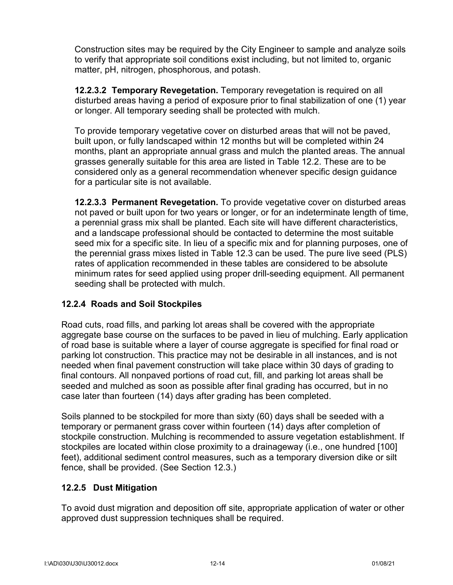Construction sites may be required by the City Engineer to sample and analyze soils to verify that appropriate soil conditions exist including, but not limited to, organic matter, pH, nitrogen, phosphorous, and potash.

**12.2.3.2 Temporary Revegetation.** Temporary revegetation is required on all disturbed areas having a period of exposure prior to final stabilization of one (1) year or longer. All temporary seeding shall be protected with mulch.

To provide temporary vegetative cover on disturbed areas that will not be paved, built upon, or fully landscaped within 12 months but will be completed within 24 months, plant an appropriate annual grass and mulch the planted areas. The annual grasses generally suitable for this area are listed in Table 12.2. These are to be considered only as a general recommendation whenever specific design guidance for a particular site is not available.

**12.2.3.3 Permanent Revegetation.** To provide vegetative cover on disturbed areas not paved or built upon for two years or longer, or for an indeterminate length of time, a perennial grass mix shall be planted. Each site will have different characteristics, and a landscape professional should be contacted to determine the most suitable seed mix for a specific site. In lieu of a specific mix and for planning purposes, one of the perennial grass mixes listed in Table 12.3 can be used. The pure live seed (PLS) rates of application recommended in these tables are considered to be absolute minimum rates for seed applied using proper drill-seeding equipment. All permanent seeding shall be protected with mulch.

## **12.2.4 Roads and Soil Stockpiles**

Road cuts, road fills, and parking lot areas shall be covered with the appropriate aggregate base course on the surfaces to be paved in lieu of mulching. Early application of road base is suitable where a layer of course aggregate is specified for final road or parking lot construction. This practice may not be desirable in all instances, and is not needed when final pavement construction will take place within 30 days of grading to final contours. All nonpaved portions of road cut, fill, and parking lot areas shall be seeded and mulched as soon as possible after final grading has occurred, but in no case later than fourteen (14) days after grading has been completed.

Soils planned to be stockpiled for more than sixty (60) days shall be seeded with a temporary or permanent grass cover within fourteen (14) days after completion of stockpile construction. Mulching is recommended to assure vegetation establishment. If stockpiles are located within close proximity to a drainageway (i.e., one hundred [100] feet), additional sediment control measures, such as a temporary diversion dike or silt fence, shall be provided. (See Section 12.3.)

## **12.2.5 Dust Mitigation**

To avoid dust migration and deposition off site, appropriate application of water or other approved dust suppression techniques shall be required.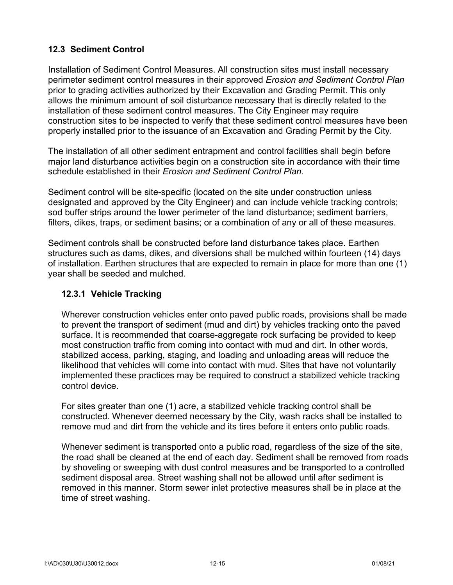## **12.3 Sediment Control**

Installation of Sediment Control Measures. All construction sites must install necessary perimeter sediment control measures in their approved *Erosion and Sediment Control Plan*  prior to grading activities authorized by their Excavation and Grading Permit. This only allows the minimum amount of soil disturbance necessary that is directly related to the installation of these sediment control measures. The City Engineer may require construction sites to be inspected to verify that these sediment control measures have been properly installed prior to the issuance of an Excavation and Grading Permit by the City.

The installation of all other sediment entrapment and control facilities shall begin before major land disturbance activities begin on a construction site in accordance with their time schedule established in their *Erosion and Sediment Control Plan*.

Sediment control will be site-specific (located on the site under construction unless designated and approved by the City Engineer) and can include vehicle tracking controls; sod buffer strips around the lower perimeter of the land disturbance; sediment barriers, filters, dikes, traps, or sediment basins; or a combination of any or all of these measures.

Sediment controls shall be constructed before land disturbance takes place. Earthen structures such as dams, dikes, and diversions shall be mulched within fourteen (14) days of installation. Earthen structures that are expected to remain in place for more than one (1) year shall be seeded and mulched.

## **12.3.1 Vehicle Tracking**

Wherever construction vehicles enter onto paved public roads, provisions shall be made to prevent the transport of sediment (mud and dirt) by vehicles tracking onto the paved surface. It is recommended that coarse-aggregate rock surfacing be provided to keep most construction traffic from coming into contact with mud and dirt. In other words, stabilized access, parking, staging, and loading and unloading areas will reduce the likelihood that vehicles will come into contact with mud. Sites that have not voluntarily implemented these practices may be required to construct a stabilized vehicle tracking control device.

For sites greater than one (1) acre, a stabilized vehicle tracking control shall be constructed. Whenever deemed necessary by the City, wash racks shall be installed to remove mud and dirt from the vehicle and its tires before it enters onto public roads.

Whenever sediment is transported onto a public road, regardless of the size of the site, the road shall be cleaned at the end of each day. Sediment shall be removed from roads by shoveling or sweeping with dust control measures and be transported to a controlled sediment disposal area. Street washing shall not be allowed until after sediment is removed in this manner. Storm sewer inlet protective measures shall be in place at the time of street washing.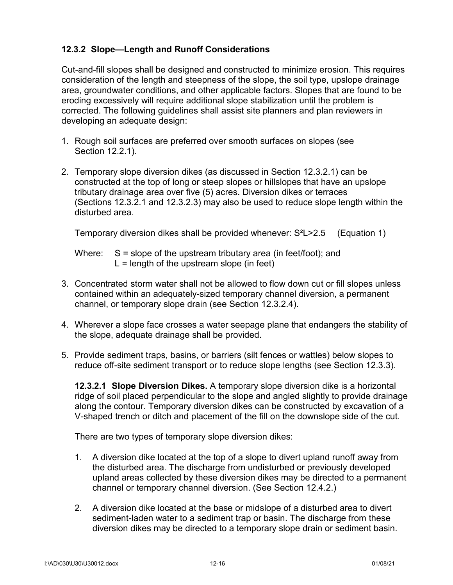## **12.3.2 Slope—Length and Runoff Considerations**

Cut-and-fill slopes shall be designed and constructed to minimize erosion. This requires consideration of the length and steepness of the slope, the soil type, upslope drainage area, groundwater conditions, and other applicable factors. Slopes that are found to be eroding excessively will require additional slope stabilization until the problem is corrected. The following guidelines shall assist site planners and plan reviewers in developing an adequate design:

- 1. Rough soil surfaces are preferred over smooth surfaces on slopes (see Section 12.2.1).
- 2. Temporary slope diversion dikes (as discussed in Section 12.3.2.1) can be constructed at the top of long or steep slopes or hillslopes that have an upslope tributary drainage area over five (5) acres. Diversion dikes or terraces (Sections 12.3.2.1 and 12.3.2.3) may also be used to reduce slope length within the disturbed area.

Temporary diversion dikes shall be provided whenever: S²L>2.5 (Equation 1)

Where:  $S = slope of the upstream tributary area (in feet/foot); and$  $L =$  length of the upstream slope (in feet)

- 3. Concentrated storm water shall not be allowed to flow down cut or fill slopes unless contained within an adequately-sized temporary channel diversion, a permanent channel, or temporary slope drain (see Section 12.3.2.4).
- 4. Wherever a slope face crosses a water seepage plane that endangers the stability of the slope, adequate drainage shall be provided.
- 5. Provide sediment traps, basins, or barriers (silt fences or wattles) below slopes to reduce off-site sediment transport or to reduce slope lengths (see Section 12.3.3).

**12.3.2.1 Slope Diversion Dikes.** A temporary slope diversion dike is a horizontal ridge of soil placed perpendicular to the slope and angled slightly to provide drainage along the contour. Temporary diversion dikes can be constructed by excavation of a V-shaped trench or ditch and placement of the fill on the downslope side of the cut.

There are two types of temporary slope diversion dikes:

- 1. A diversion dike located at the top of a slope to divert upland runoff away from the disturbed area. The discharge from undisturbed or previously developed upland areas collected by these diversion dikes may be directed to a permanent channel or temporary channel diversion. (See Section 12.4.2.)
- 2. A diversion dike located at the base or midslope of a disturbed area to divert sediment-laden water to a sediment trap or basin. The discharge from these diversion dikes may be directed to a temporary slope drain or sediment basin.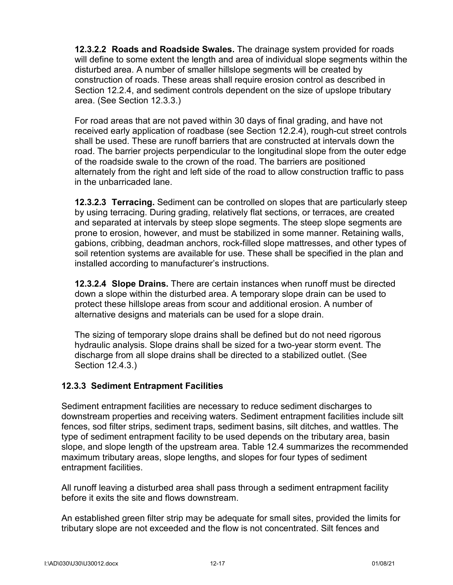**12.3.2.2 Roads and Roadside Swales.** The drainage system provided for roads will define to some extent the length and area of individual slope segments within the disturbed area. A number of smaller hillslope segments will be created by construction of roads. These areas shall require erosion control as described in Section 12.2.4, and sediment controls dependent on the size of upslope tributary area. (See Section 12.3.3.)

For road areas that are not paved within 30 days of final grading, and have not received early application of roadbase (see Section 12.2.4), rough-cut street controls shall be used. These are runoff barriers that are constructed at intervals down the road. The barrier projects perpendicular to the longitudinal slope from the outer edge of the roadside swale to the crown of the road. The barriers are positioned alternately from the right and left side of the road to allow construction traffic to pass in the unbarricaded lane.

**12.3.2.3 Terracing.** Sediment can be controlled on slopes that are particularly steep by using terracing. During grading, relatively flat sections, or terraces, are created and separated at intervals by steep slope segments. The steep slope segments are prone to erosion, however, and must be stabilized in some manner. Retaining walls, gabions, cribbing, deadman anchors, rock-filled slope mattresses, and other types of soil retention systems are available for use. These shall be specified in the plan and installed according to manufacturer's instructions.

**12.3.2.4 Slope Drains.** There are certain instances when runoff must be directed down a slope within the disturbed area. A temporary slope drain can be used to protect these hillslope areas from scour and additional erosion. A number of alternative designs and materials can be used for a slope drain.

The sizing of temporary slope drains shall be defined but do not need rigorous hydraulic analysis. Slope drains shall be sized for a two-year storm event. The discharge from all slope drains shall be directed to a stabilized outlet. (See Section 12.4.3.)

#### **12.3.3 Sediment Entrapment Facilities**

Sediment entrapment facilities are necessary to reduce sediment discharges to downstream properties and receiving waters. Sediment entrapment facilities include silt fences, sod filter strips, sediment traps, sediment basins, silt ditches, and wattles. The type of sediment entrapment facility to be used depends on the tributary area, basin slope, and slope length of the upstream area. Table 12.4 summarizes the recommended maximum tributary areas, slope lengths, and slopes for four types of sediment entrapment facilities.

All runoff leaving a disturbed area shall pass through a sediment entrapment facility before it exits the site and flows downstream.

An established green filter strip may be adequate for small sites, provided the limits for tributary slope are not exceeded and the flow is not concentrated. Silt fences and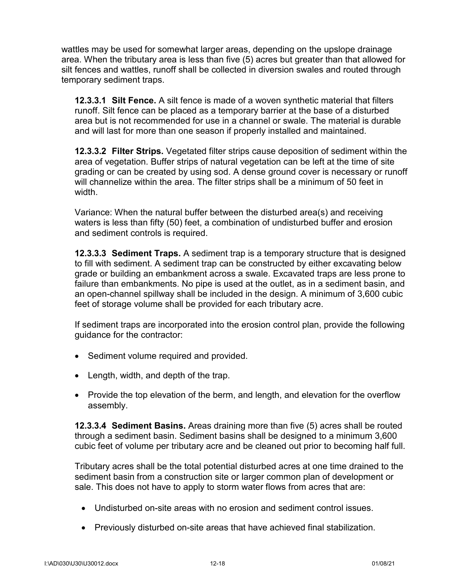wattles may be used for somewhat larger areas, depending on the upslope drainage area. When the tributary area is less than five (5) acres but greater than that allowed for silt fences and wattles, runoff shall be collected in diversion swales and routed through temporary sediment traps.

**12.3.3.1 Silt Fence.** A silt fence is made of a woven synthetic material that filters runoff. Silt fence can be placed as a temporary barrier at the base of a disturbed area but is not recommended for use in a channel or swale. The material is durable and will last for more than one season if properly installed and maintained.

**12.3.3.2 Filter Strips.** Vegetated filter strips cause deposition of sediment within the area of vegetation. Buffer strips of natural vegetation can be left at the time of site grading or can be created by using sod. A dense ground cover is necessary or runoff will channelize within the area. The filter strips shall be a minimum of 50 feet in width.

Variance: When the natural buffer between the disturbed area(s) and receiving waters is less than fifty (50) feet, a combination of undisturbed buffer and erosion and sediment controls is required.

**12.3.3.3 Sediment Traps.** A sediment trap is a temporary structure that is designed to fill with sediment. A sediment trap can be constructed by either excavating below grade or building an embankment across a swale. Excavated traps are less prone to failure than embankments. No pipe is used at the outlet, as in a sediment basin, and an open-channel spillway shall be included in the design. A minimum of 3,600 cubic feet of storage volume shall be provided for each tributary acre.

If sediment traps are incorporated into the erosion control plan, provide the following guidance for the contractor:

- Sediment volume required and provided.
- Length, width, and depth of the trap.
- Provide the top elevation of the berm, and length, and elevation for the overflow assembly.

**12.3.3.4 Sediment Basins.** Areas draining more than five (5) acres shall be routed through a sediment basin. Sediment basins shall be designed to a minimum 3,600 cubic feet of volume per tributary acre and be cleaned out prior to becoming half full.

Tributary acres shall be the total potential disturbed acres at one time drained to the sediment basin from a construction site or larger common plan of development or sale. This does not have to apply to storm water flows from acres that are:

- Undisturbed on-site areas with no erosion and sediment control issues.
- Previously disturbed on-site areas that have achieved final stabilization.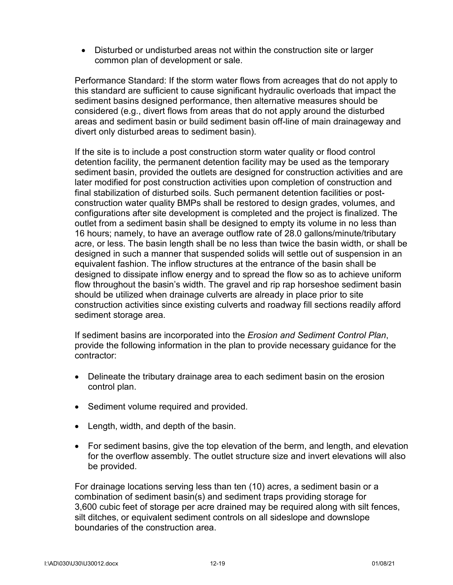• Disturbed or undisturbed areas not within the construction site or larger common plan of development or sale.

Performance Standard: If the storm water flows from acreages that do not apply to this standard are sufficient to cause significant hydraulic overloads that impact the sediment basins designed performance, then alternative measures should be considered (e.g., divert flows from areas that do not apply around the disturbed areas and sediment basin or build sediment basin off-line of main drainageway and divert only disturbed areas to sediment basin).

If the site is to include a post construction storm water quality or flood control detention facility, the permanent detention facility may be used as the temporary sediment basin, provided the outlets are designed for construction activities and are later modified for post construction activities upon completion of construction and final stabilization of disturbed soils. Such permanent detention facilities or postconstruction water quality BMPs shall be restored to design grades, volumes, and configurations after site development is completed and the project is finalized. The outlet from a sediment basin shall be designed to empty its volume in no less than 16 hours; namely, to have an average outflow rate of 28.0 gallons/minute/tributary acre, or less. The basin length shall be no less than twice the basin width, or shall be designed in such a manner that suspended solids will settle out of suspension in an equivalent fashion. The inflow structures at the entrance of the basin shall be designed to dissipate inflow energy and to spread the flow so as to achieve uniform flow throughout the basin's width. The gravel and rip rap horseshoe sediment basin should be utilized when drainage culverts are already in place prior to site construction activities since existing culverts and roadway fill sections readily afford sediment storage area.

If sediment basins are incorporated into the *Erosion and Sediment Control Plan*, provide the following information in the plan to provide necessary guidance for the contractor:

- Delineate the tributary drainage area to each sediment basin on the erosion control plan.
- Sediment volume required and provided.
- Length, width, and depth of the basin.
- For sediment basins, give the top elevation of the berm, and length, and elevation for the overflow assembly. The outlet structure size and invert elevations will also be provided.

For drainage locations serving less than ten (10) acres, a sediment basin or a combination of sediment basin(s) and sediment traps providing storage for 3,600 cubic feet of storage per acre drained may be required along with silt fences, silt ditches, or equivalent sediment controls on all sideslope and downslope boundaries of the construction area.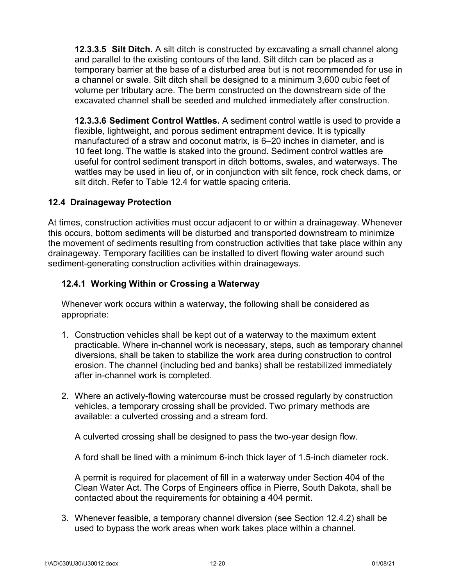**12.3.3.5 Silt Ditch.** A silt ditch is constructed by excavating a small channel along and parallel to the existing contours of the land. Silt ditch can be placed as a temporary barrier at the base of a disturbed area but is not recommended for use in a channel or swale. Silt ditch shall be designed to a minimum 3,600 cubic feet of volume per tributary acre. The berm constructed on the downstream side of the excavated channel shall be seeded and mulched immediately after construction.

**12.3.3.6 Sediment Control Wattles.** A sediment control wattle is used to provide a flexible, lightweight, and porous sediment entrapment device. It is typically manufactured of a straw and coconut matrix, is 6–20 inches in diameter, and is 10 feet long. The wattle is staked into the ground. Sediment control wattles are useful for control sediment transport in ditch bottoms, swales, and waterways. The wattles may be used in lieu of, or in conjunction with silt fence, rock check dams, or silt ditch. Refer to Table 12.4 for wattle spacing criteria.

#### **12.4 Drainageway Protection**

At times, construction activities must occur adjacent to or within a drainageway. Whenever this occurs, bottom sediments will be disturbed and transported downstream to minimize the movement of sediments resulting from construction activities that take place within any drainageway. Temporary facilities can be installed to divert flowing water around such sediment-generating construction activities within drainageways.

#### **12.4.1 Working Within or Crossing a Waterway**

Whenever work occurs within a waterway, the following shall be considered as appropriate:

- 1. Construction vehicles shall be kept out of a waterway to the maximum extent practicable. Where in-channel work is necessary, steps, such as temporary channel diversions, shall be taken to stabilize the work area during construction to control erosion. The channel (including bed and banks) shall be restabilized immediately after in-channel work is completed.
- 2. Where an actively-flowing watercourse must be crossed regularly by construction vehicles, a temporary crossing shall be provided. Two primary methods are available: a culverted crossing and a stream ford.

A culverted crossing shall be designed to pass the two-year design flow.

A ford shall be lined with a minimum 6-inch thick layer of 1.5-inch diameter rock.

A permit is required for placement of fill in a waterway under Section 404 of the Clean Water Act. The Corps of Engineers office in Pierre, South Dakota, shall be contacted about the requirements for obtaining a 404 permit.

3. Whenever feasible, a temporary channel diversion (see Section 12.4.2) shall be used to bypass the work areas when work takes place within a channel.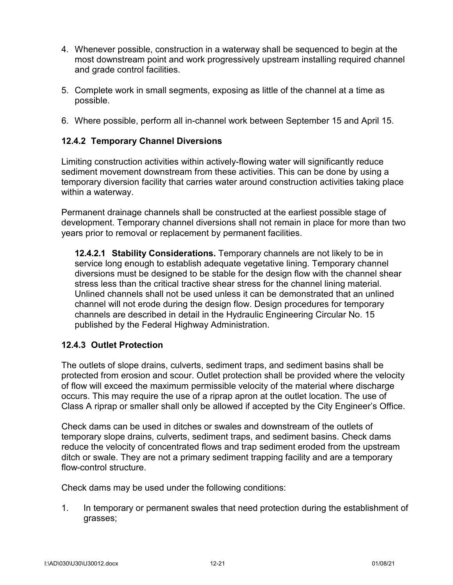- 4. Whenever possible, construction in a waterway shall be sequenced to begin at the most downstream point and work progressively upstream installing required channel and grade control facilities.
- 5. Complete work in small segments, exposing as little of the channel at a time as possible.
- 6. Where possible, perform all in-channel work between September 15 and April 15.

## **12.4.2 Temporary Channel Diversions**

Limiting construction activities within actively-flowing water will significantly reduce sediment movement downstream from these activities. This can be done by using a temporary diversion facility that carries water around construction activities taking place within a waterway.

Permanent drainage channels shall be constructed at the earliest possible stage of development. Temporary channel diversions shall not remain in place for more than two years prior to removal or replacement by permanent facilities.

**12.4.2.1 Stability Considerations.** Temporary channels are not likely to be in service long enough to establish adequate vegetative lining. Temporary channel diversions must be designed to be stable for the design flow with the channel shear stress less than the critical tractive shear stress for the channel lining material. Unlined channels shall not be used unless it can be demonstrated that an unlined channel will not erode during the design flow. Design procedures for temporary channels are described in detail in the Hydraulic Engineering Circular No. 15 published by the Federal Highway Administration.

#### **12.4.3 Outlet Protection**

The outlets of slope drains, culverts, sediment traps, and sediment basins shall be protected from erosion and scour. Outlet protection shall be provided where the velocity of flow will exceed the maximum permissible velocity of the material where discharge occurs. This may require the use of a riprap apron at the outlet location. The use of Class A riprap or smaller shall only be allowed if accepted by the City Engineer's Office.

Check dams can be used in ditches or swales and downstream of the outlets of temporary slope drains, culverts, sediment traps, and sediment basins. Check dams reduce the velocity of concentrated flows and trap sediment eroded from the upstream ditch or swale. They are not a primary sediment trapping facility and are a temporary flow-control structure.

Check dams may be used under the following conditions:

1. In temporary or permanent swales that need protection during the establishment of grasses;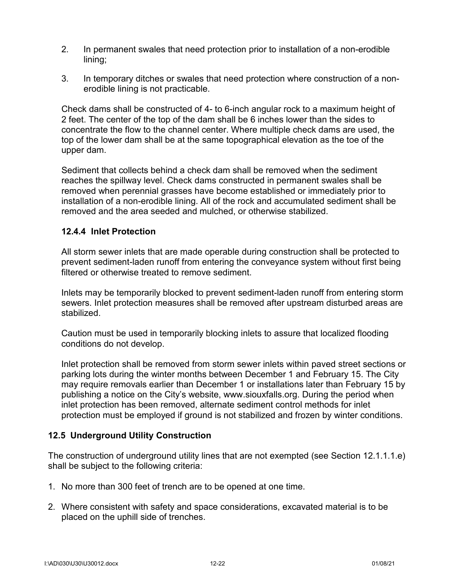- 2. In permanent swales that need protection prior to installation of a non-erodible lining;
- 3. In temporary ditches or swales that need protection where construction of a nonerodible lining is not practicable.

Check dams shall be constructed of 4- to 6-inch angular rock to a maximum height of 2 feet. The center of the top of the dam shall be 6 inches lower than the sides to concentrate the flow to the channel center. Where multiple check dams are used, the top of the lower dam shall be at the same topographical elevation as the toe of the upper dam.

Sediment that collects behind a check dam shall be removed when the sediment reaches the spillway level. Check dams constructed in permanent swales shall be removed when perennial grasses have become established or immediately prior to installation of a non-erodible lining. All of the rock and accumulated sediment shall be removed and the area seeded and mulched, or otherwise stabilized.

#### **12.4.4 Inlet Protection**

All storm sewer inlets that are made operable during construction shall be protected to prevent sediment-laden runoff from entering the conveyance system without first being filtered or otherwise treated to remove sediment.

Inlets may be temporarily blocked to prevent sediment-laden runoff from entering storm sewers. Inlet protection measures shall be removed after upstream disturbed areas are stabilized.

Caution must be used in temporarily blocking inlets to assure that localized flooding conditions do not develop.

Inlet protection shall be removed from storm sewer inlets within paved street sections or parking lots during the winter months between December 1 and February 15. The City may require removals earlier than December 1 or installations later than February 15 by publishing a notice on the City's website, [www.siouxfalls.org.](http://www.siouxfalls.org/) During the period when inlet protection has been removed, alternate sediment control methods for inlet protection must be employed if ground is not stabilized and frozen by winter conditions.

## **12.5 Underground Utility Construction**

The construction of underground utility lines that are not exempted (see Section 12.1.1.1.e) shall be subject to the following criteria:

- 1. No more than 300 feet of trench are to be opened at one time.
- 2. Where consistent with safety and space considerations, excavated material is to be placed on the uphill side of trenches.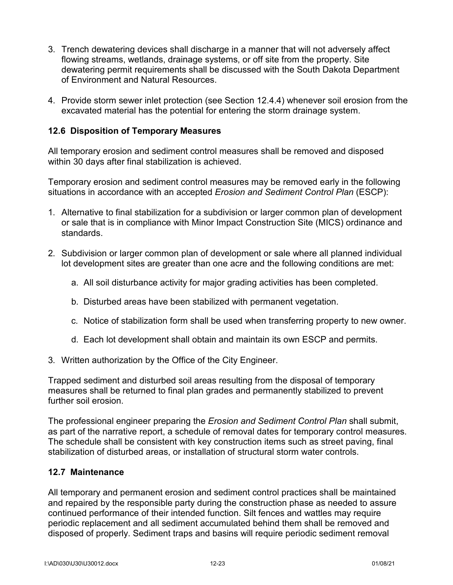- 3. Trench dewatering devices shall discharge in a manner that will not adversely affect flowing streams, wetlands, drainage systems, or off site from the property. Site dewatering permit requirements shall be discussed with the South Dakota Department of Environment and Natural Resources.
- 4. Provide storm sewer inlet protection (see Section 12.4.4) whenever soil erosion from the excavated material has the potential for entering the storm drainage system.

#### **12.6 Disposition of Temporary Measures**

All temporary erosion and sediment control measures shall be removed and disposed within 30 days after final stabilization is achieved.

Temporary erosion and sediment control measures may be removed early in the following situations in accordance with an accepted *Erosion and Sediment Control Plan* (ESCP):

- 1. Alternative to final stabilization for a subdivision or larger common plan of development or sale that is in compliance with Minor Impact Construction Site (MICS) ordinance and standards.
- 2. Subdivision or larger common plan of development or sale where all planned individual lot development sites are greater than one acre and the following conditions are met:
	- a. All soil disturbance activity for major grading activities has been completed.
	- b. Disturbed areas have been stabilized with permanent vegetation.
	- c. Notice of stabilization form shall be used when transferring property to new owner.
	- d. Each lot development shall obtain and maintain its own ESCP and permits.
- 3. Written authorization by the Office of the City Engineer.

Trapped sediment and disturbed soil areas resulting from the disposal of temporary measures shall be returned to final plan grades and permanently stabilized to prevent further soil erosion.

The professional engineer preparing the *Erosion and Sediment Control Plan* shall submit, as part of the narrative report, a schedule of removal dates for temporary control measures. The schedule shall be consistent with key construction items such as street paving, final stabilization of disturbed areas, or installation of structural storm water controls.

#### **12.7 Maintenance**

All temporary and permanent erosion and sediment control practices shall be maintained and repaired by the responsible party during the construction phase as needed to assure continued performance of their intended function. Silt fences and wattles may require periodic replacement and all sediment accumulated behind them shall be removed and disposed of properly. Sediment traps and basins will require periodic sediment removal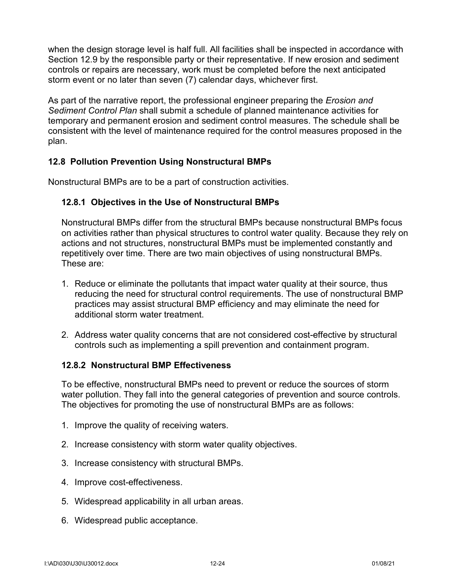when the design storage level is half full. All facilities shall be inspected in accordance with Section 12.9 by the responsible party or their representative. If new erosion and sediment controls or repairs are necessary, work must be completed before the next anticipated storm event or no later than seven (7) calendar days, whichever first.

As part of the narrative report, the professional engineer preparing the *Erosion and Sediment Control Plan* shall submit a schedule of planned maintenance activities for temporary and permanent erosion and sediment control measures. The schedule shall be consistent with the level of maintenance required for the control measures proposed in the plan.

## **12.8 Pollution Prevention Using Nonstructural BMPs**

Nonstructural BMPs are to be a part of construction activities.

## **12.8.1 Objectives in the Use of Nonstructural BMPs**

Nonstructural BMPs differ from the structural BMPs because nonstructural BMPs focus on activities rather than physical structures to control water quality. Because they rely on actions and not structures, nonstructural BMPs must be implemented constantly and repetitively over time. There are two main objectives of using nonstructural BMPs. These are:

- 1. Reduce or eliminate the pollutants that impact water quality at their source, thus reducing the need for structural control requirements. The use of nonstructural BMP practices may assist structural BMP efficiency and may eliminate the need for additional storm water treatment.
- 2. Address water quality concerns that are not considered cost-effective by structural controls such as implementing a spill prevention and containment program.

#### **12.8.2 Nonstructural BMP Effectiveness**

To be effective, nonstructural BMPs need to prevent or reduce the sources of storm water pollution. They fall into the general categories of prevention and source controls. The objectives for promoting the use of nonstructural BMPs are as follows:

- 1. Improve the quality of receiving waters.
- 2. Increase consistency with storm water quality objectives.
- 3. Increase consistency with structural BMPs.
- 4. Improve cost-effectiveness.
- 5. Widespread applicability in all urban areas.
- 6. Widespread public acceptance.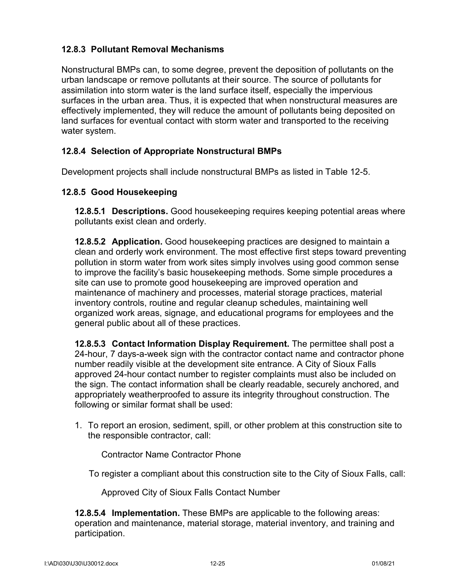## **12.8.3 Pollutant Removal Mechanisms**

Nonstructural BMPs can, to some degree, prevent the deposition of pollutants on the urban landscape or remove pollutants at their source. The source of pollutants for assimilation into storm water is the land surface itself, especially the impervious surfaces in the urban area. Thus, it is expected that when nonstructural measures are effectively implemented, they will reduce the amount of pollutants being deposited on land surfaces for eventual contact with storm water and transported to the receiving water system.

## **12.8.4 Selection of Appropriate Nonstructural BMPs**

Development projects shall include nonstructural BMPs as listed in Table 12-5.

#### **12.8.5 Good Housekeeping**

**12.8.5.1 Descriptions.** Good housekeeping requires keeping potential areas where pollutants exist clean and orderly.

**12.8.5.2 Application.** Good housekeeping practices are designed to maintain a clean and orderly work environment. The most effective first steps toward preventing pollution in storm water from work sites simply involves using good common sense to improve the facility's basic housekeeping methods. Some simple procedures a site can use to promote good housekeeping are improved operation and maintenance of machinery and processes, material storage practices, material inventory controls, routine and regular cleanup schedules, maintaining well organized work areas, signage, and educational programs for employees and the general public about all of these practices.

**12.8.5.3 Contact Information Display Requirement.** The permittee shall post a 24-hour, 7 days-a-week sign with the contractor contact name and contractor phone number readily visible at the development site entrance. A City of Sioux Falls approved 24-hour contact number to register complaints must also be included on the sign. The contact information shall be clearly readable, securely anchored, and appropriately weatherproofed to assure its integrity throughout construction. The following or similar format shall be used:

1. To report an erosion, sediment, spill, or other problem at this construction site to the responsible contractor, call:

Contractor Name Contractor Phone

To register a compliant about this construction site to the City of Sioux Falls, call:

Approved City of Sioux Falls Contact Number

**12.8.5.4 Implementation.** These BMPs are applicable to the following areas: operation and maintenance, material storage, material inventory, and training and participation.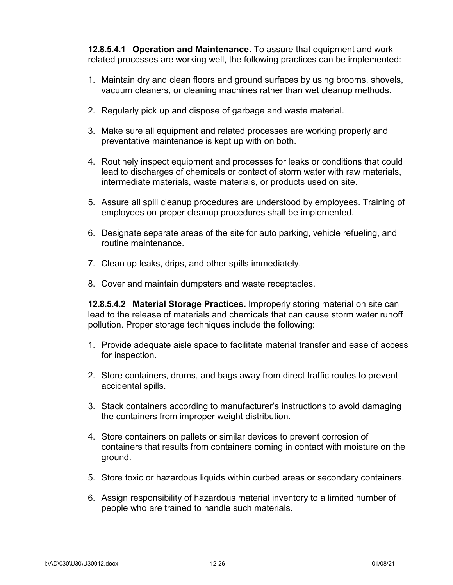**12.8.5.4.1 Operation and Maintenance.** To assure that equipment and work related processes are working well, the following practices can be implemented:

- 1. Maintain dry and clean floors and ground surfaces by using brooms, shovels, vacuum cleaners, or cleaning machines rather than wet cleanup methods.
- 2. Regularly pick up and dispose of garbage and waste material.
- 3. Make sure all equipment and related processes are working properly and preventative maintenance is kept up with on both.
- 4. Routinely inspect equipment and processes for leaks or conditions that could lead to discharges of chemicals or contact of storm water with raw materials, intermediate materials, waste materials, or products used on site.
- 5. Assure all spill cleanup procedures are understood by employees. Training of employees on proper cleanup procedures shall be implemented.
- 6. Designate separate areas of the site for auto parking, vehicle refueling, and routine maintenance.
- 7. Clean up leaks, drips, and other spills immediately.
- 8. Cover and maintain dumpsters and waste receptacles.

**12.8.5.4.2 Material Storage Practices.** Improperly storing material on site can lead to the release of materials and chemicals that can cause storm water runoff pollution. Proper storage techniques include the following:

- 1. Provide adequate aisle space to facilitate material transfer and ease of access for inspection.
- 2. Store containers, drums, and bags away from direct traffic routes to prevent accidental spills.
- 3. Stack containers according to manufacturer's instructions to avoid damaging the containers from improper weight distribution.
- 4. Store containers on pallets or similar devices to prevent corrosion of containers that results from containers coming in contact with moisture on the ground.
- 5. Store toxic or hazardous liquids within curbed areas or secondary containers.
- 6. Assign responsibility of hazardous material inventory to a limited number of people who are trained to handle such materials.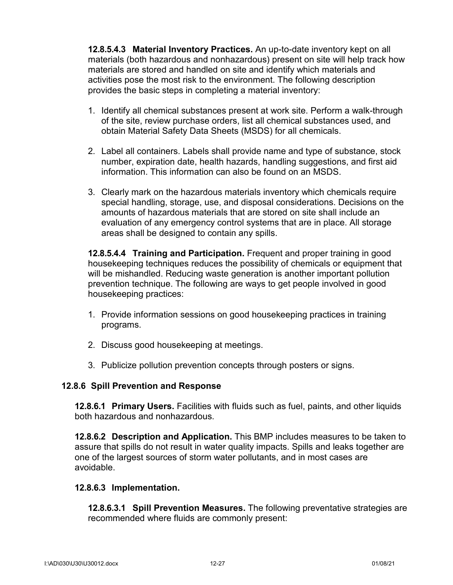**12.8.5.4.3 Material Inventory Practices.** An up-to-date inventory kept on all materials (both hazardous and nonhazardous) present on site will help track how materials are stored and handled on site and identify which materials and activities pose the most risk to the environment. The following description provides the basic steps in completing a material inventory:

- 1. Identify all chemical substances present at work site. Perform a walk-through of the site, review purchase orders, list all chemical substances used, and obtain Material Safety Data Sheets (MSDS) for all chemicals.
- 2. Label all containers. Labels shall provide name and type of substance, stock number, expiration date, health hazards, handling suggestions, and first aid information. This information can also be found on an MSDS.
- 3. Clearly mark on the hazardous materials inventory which chemicals require special handling, storage, use, and disposal considerations. Decisions on the amounts of hazardous materials that are stored on site shall include an evaluation of any emergency control systems that are in place. All storage areas shall be designed to contain any spills.

**12.8.5.4.4 Training and Participation.** Frequent and proper training in good housekeeping techniques reduces the possibility of chemicals or equipment that will be mishandled. Reducing waste generation is another important pollution prevention technique. The following are ways to get people involved in good housekeeping practices:

- 1. Provide information sessions on good housekeeping practices in training programs.
- 2. Discuss good housekeeping at meetings.
- 3. Publicize pollution prevention concepts through posters or signs.

#### **12.8.6 Spill Prevention and Response**

**12.8.6.1 Primary Users.** Facilities with fluids such as fuel, paints, and other liquids both hazardous and nonhazardous.

**12.8.6.2 Description and Application.** This BMP includes measures to be taken to assure that spills do not result in water quality impacts. Spills and leaks together are one of the largest sources of storm water pollutants, and in most cases are avoidable.

#### **12.8.6.3 Implementation.**

**12.8.6.3.1 Spill Prevention Measures.** The following preventative strategies are recommended where fluids are commonly present: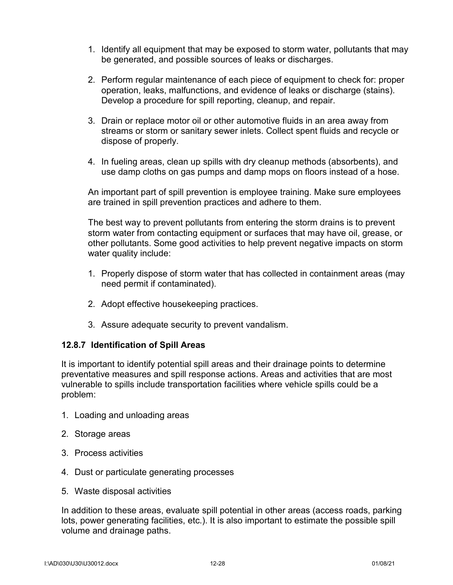- 1. Identify all equipment that may be exposed to storm water, pollutants that may be generated, and possible sources of leaks or discharges.
- 2. Perform regular maintenance of each piece of equipment to check for: proper operation, leaks, malfunctions, and evidence of leaks or discharge (stains). Develop a procedure for spill reporting, cleanup, and repair.
- 3. Drain or replace motor oil or other automotive fluids in an area away from streams or storm or sanitary sewer inlets. Collect spent fluids and recycle or dispose of properly.
- 4. In fueling areas, clean up spills with dry cleanup methods (absorbents), and use damp cloths on gas pumps and damp mops on floors instead of a hose.

An important part of spill prevention is employee training. Make sure employees are trained in spill prevention practices and adhere to them.

The best way to prevent pollutants from entering the storm drains is to prevent storm water from contacting equipment or surfaces that may have oil, grease, or other pollutants. Some good activities to help prevent negative impacts on storm water quality include:

- 1. Properly dispose of storm water that has collected in containment areas (may need permit if contaminated).
- 2. Adopt effective housekeeping practices.
- 3. Assure adequate security to prevent vandalism.

#### **12.8.7 Identification of Spill Areas**

It is important to identify potential spill areas and their drainage points to determine preventative measures and spill response actions. Areas and activities that are most vulnerable to spills include transportation facilities where vehicle spills could be a problem:

- 1. Loading and unloading areas
- 2. Storage areas
- 3. Process activities
- 4. Dust or particulate generating processes
- 5. Waste disposal activities

In addition to these areas, evaluate spill potential in other areas (access roads, parking lots, power generating facilities, etc.). It is also important to estimate the possible spill volume and drainage paths.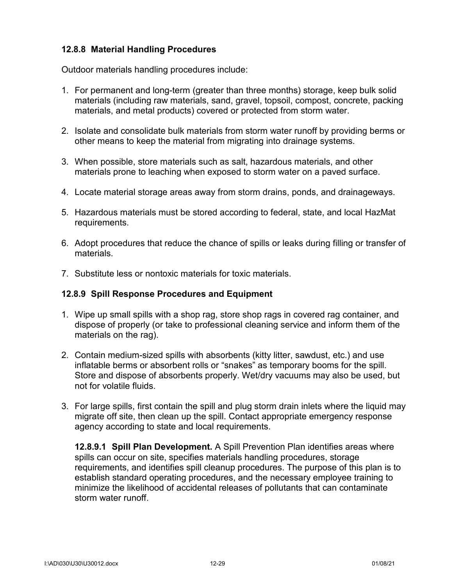## **12.8.8 Material Handling Procedures**

Outdoor materials handling procedures include:

- 1. For permanent and long-term (greater than three months) storage, keep bulk solid materials (including raw materials, sand, gravel, topsoil, compost, concrete, packing materials, and metal products) covered or protected from storm water.
- 2. Isolate and consolidate bulk materials from storm water runoff by providing berms or other means to keep the material from migrating into drainage systems.
- 3. When possible, store materials such as salt, hazardous materials, and other materials prone to leaching when exposed to storm water on a paved surface.
- 4. Locate material storage areas away from storm drains, ponds, and drainageways.
- 5. Hazardous materials must be stored according to federal, state, and local HazMat requirements.
- 6. Adopt procedures that reduce the chance of spills or leaks during filling or transfer of materials.
- 7. Substitute less or nontoxic materials for toxic materials.

#### **12.8.9 Spill Response Procedures and Equipment**

- 1. Wipe up small spills with a shop rag, store shop rags in covered rag container, and dispose of properly (or take to professional cleaning service and inform them of the materials on the rag).
- 2. Contain medium-sized spills with absorbents (kitty litter, sawdust, etc.) and use inflatable berms or absorbent rolls or "snakes" as temporary booms for the spill. Store and dispose of absorbents properly. Wet/dry vacuums may also be used, but not for volatile fluids.
- 3. For large spills, first contain the spill and plug storm drain inlets where the liquid may migrate off site, then clean up the spill. Contact appropriate emergency response agency according to state and local requirements.

**12.8.9.1 Spill Plan Development.** A Spill Prevention Plan identifies areas where spills can occur on site, specifies materials handling procedures, storage requirements, and identifies spill cleanup procedures. The purpose of this plan is to establish standard operating procedures, and the necessary employee training to minimize the likelihood of accidental releases of pollutants that can contaminate storm water runoff.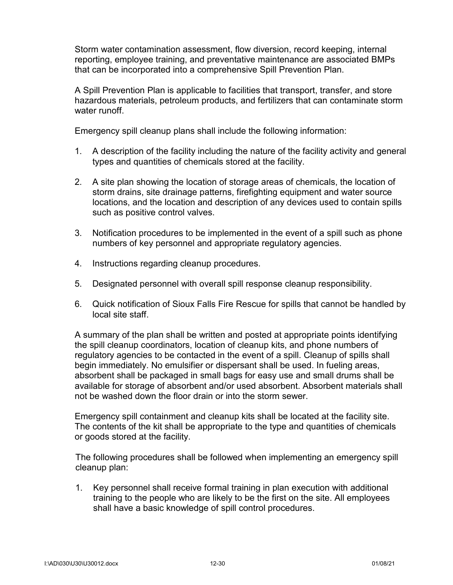Storm water contamination assessment, flow diversion, record keeping, internal reporting, employee training, and preventative maintenance are associated BMPs that can be incorporated into a comprehensive Spill Prevention Plan.

A Spill Prevention Plan is applicable to facilities that transport, transfer, and store hazardous materials, petroleum products, and fertilizers that can contaminate storm water runoff.

Emergency spill cleanup plans shall include the following information:

- 1. A description of the facility including the nature of the facility activity and general types and quantities of chemicals stored at the facility.
- 2. A site plan showing the location of storage areas of chemicals, the location of storm drains, site drainage patterns, firefighting equipment and water source locations, and the location and description of any devices used to contain spills such as positive control valves.
- 3. Notification procedures to be implemented in the event of a spill such as phone numbers of key personnel and appropriate regulatory agencies.
- 4. Instructions regarding cleanup procedures.
- 5. Designated personnel with overall spill response cleanup responsibility.
- 6. Quick notification of Sioux Falls Fire Rescue for spills that cannot be handled by local site staff.

A summary of the plan shall be written and posted at appropriate points identifying the spill cleanup coordinators, location of cleanup kits, and phone numbers of regulatory agencies to be contacted in the event of a spill. Cleanup of spills shall begin immediately. No emulsifier or dispersant shall be used. In fueling areas, absorbent shall be packaged in small bags for easy use and small drums shall be available for storage of absorbent and/or used absorbent. Absorbent materials shall not be washed down the floor drain or into the storm sewer.

Emergency spill containment and cleanup kits shall be located at the facility site. The contents of the kit shall be appropriate to the type and quantities of chemicals or goods stored at the facility.

The following procedures shall be followed when implementing an emergency spill cleanup plan:

1. Key personnel shall receive formal training in plan execution with additional training to the people who are likely to be the first on the site. All employees shall have a basic knowledge of spill control procedures.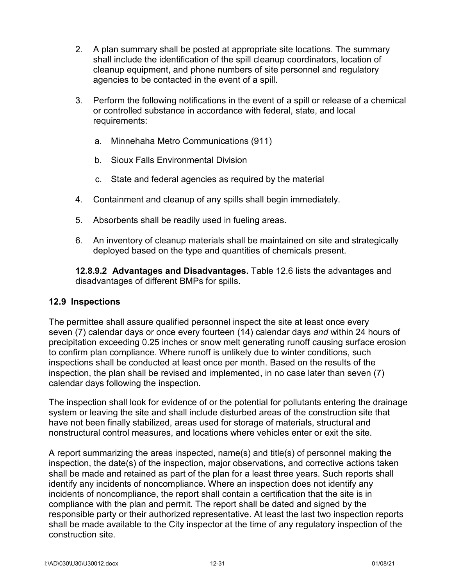- 2. A plan summary shall be posted at appropriate site locations. The summary shall include the identification of the spill cleanup coordinators, location of cleanup equipment, and phone numbers of site personnel and regulatory agencies to be contacted in the event of a spill.
- 3. Perform the following notifications in the event of a spill or release of a chemical or controlled substance in accordance with federal, state, and local requirements:
	- a. Minnehaha Metro Communications (911)
	- b. Sioux Falls Environmental Division
	- c. State and federal agencies as required by the material
- 4. Containment and cleanup of any spills shall begin immediately.
- 5. Absorbents shall be readily used in fueling areas.
- 6. An inventory of cleanup materials shall be maintained on site and strategically deployed based on the type and quantities of chemicals present.

**12.8.9.2 Advantages and Disadvantages.** Table 12.6 lists the advantages and disadvantages of different BMPs for spills.

#### **12.9 Inspections**

The permittee shall assure qualified personnel inspect the site at least once every seven (7) calendar days or once every fourteen (14) calendar days *and* within 24 hours of precipitation exceeding 0.25 inches or snow melt generating runoff causing surface erosion to confirm plan compliance. Where runoff is unlikely due to winter conditions, such inspections shall be conducted at least once per month. Based on the results of the inspection, the plan shall be revised and implemented, in no case later than seven (7) calendar days following the inspection.

The inspection shall look for evidence of or the potential for pollutants entering the drainage system or leaving the site and shall include disturbed areas of the construction site that have not been finally stabilized, areas used for storage of materials, structural and nonstructural control measures, and locations where vehicles enter or exit the site.

A report summarizing the areas inspected, name(s) and title(s) of personnel making the inspection, the date(s) of the inspection, major observations, and corrective actions taken shall be made and retained as part of the plan for a least three years. Such reports shall identify any incidents of noncompliance. Where an inspection does not identify any incidents of noncompliance, the report shall contain a certification that the site is in compliance with the plan and permit. The report shall be dated and signed by the responsible party or their authorized representative. At least the last two inspection reports shall be made available to the City inspector at the time of any regulatory inspection of the construction site.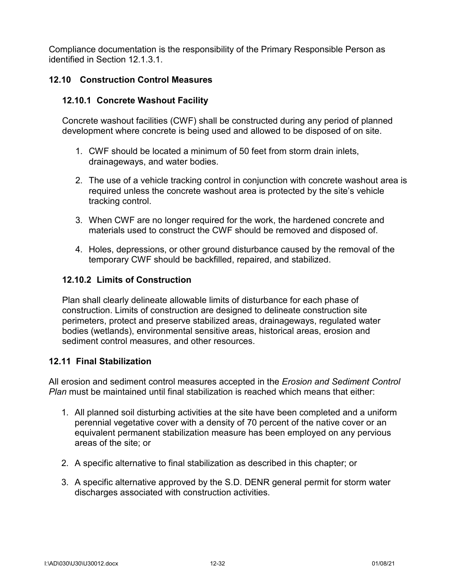Compliance documentation is the responsibility of the Primary Responsible Person as identified in Section 12.1.3.1.

## **12.10 Construction Control Measures**

#### **12.10.1 Concrete Washout Facility**

Concrete washout facilities (CWF) shall be constructed during any period of planned development where concrete is being used and allowed to be disposed of on site.

- 1. CWF should be located a minimum of 50 feet from storm drain inlets, drainageways, and water bodies.
- 2. The use of a vehicle tracking control in conjunction with concrete washout area is required unless the concrete washout area is protected by the site's vehicle tracking control.
- 3. When CWF are no longer required for the work, the hardened concrete and materials used to construct the CWF should be removed and disposed of.
- 4. Holes, depressions, or other ground disturbance caused by the removal of the temporary CWF should be backfilled, repaired, and stabilized.

#### **12.10.2 Limits of Construction**

Plan shall clearly delineate allowable limits of disturbance for each phase of construction. Limits of construction are designed to delineate construction site perimeters, protect and preserve stabilized areas, drainageways, regulated water bodies (wetlands), environmental sensitive areas, historical areas, erosion and sediment control measures, and other resources.

#### **12.11 Final Stabilization**

All erosion and sediment control measures accepted in the *Erosion and Sediment Control Plan* must be maintained until final stabilization is reached which means that either:

- 1. All planned soil disturbing activities at the site have been completed and a uniform perennial vegetative cover with a density of 70 percent of the native cover or an equivalent permanent stabilization measure has been employed on any pervious areas of the site; or
- 2. A specific alternative to final stabilization as described in this chapter; or
- 3. A specific alternative approved by the S.D. DENR general permit for storm water discharges associated with construction activities.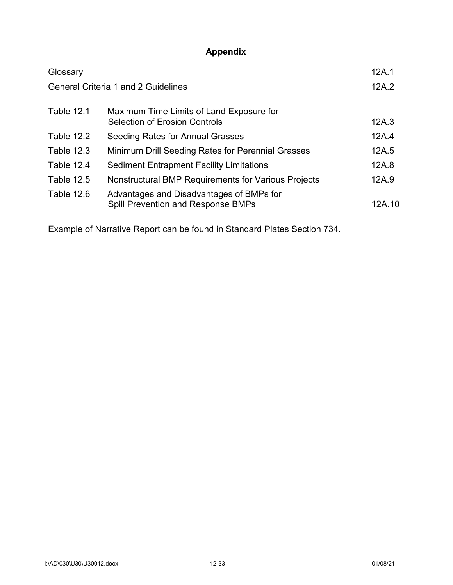# **Appendix**

| Glossary          |                                                                                | 12A.1  |
|-------------------|--------------------------------------------------------------------------------|--------|
|                   | <b>General Criteria 1 and 2 Guidelines</b>                                     | 12A.2  |
| <b>Table 12.1</b> | Maximum Time Limits of Land Exposure for                                       |        |
|                   | <b>Selection of Erosion Controls</b>                                           | 12A.3  |
| Table 12.2        | Seeding Rates for Annual Grasses                                               | 12A.4  |
| <b>Table 12.3</b> | Minimum Drill Seeding Rates for Perennial Grasses                              | 12A.5  |
| Table 12.4        | <b>Sediment Entrapment Facility Limitations</b>                                | 12A.8  |
| <b>Table 12.5</b> | Nonstructural BMP Requirements for Various Projects                            | 12A.9  |
| Table 12.6        | Advantages and Disadvantages of BMPs for<br>Spill Prevention and Response BMPs | 12A.10 |

Example of Narrative Report can be found in Standard Plates Section 734.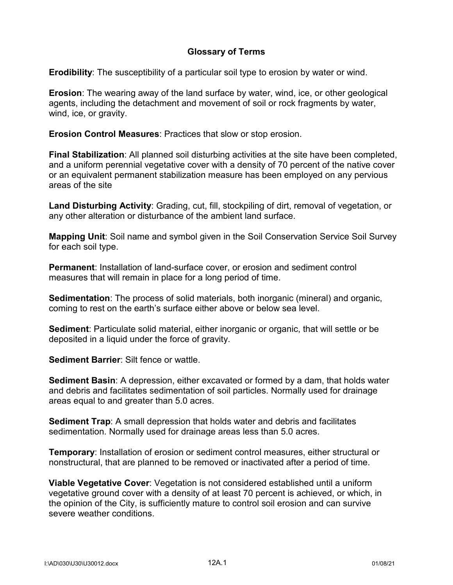## **Glossary of Terms**

**Erodibility**: The susceptibility of a particular soil type to erosion by water or wind.

**Erosion**: The wearing away of the land surface by water, wind, ice, or other geological agents, including the detachment and movement of soil or rock fragments by water, wind, ice, or gravity.

**Erosion Control Measures**: Practices that slow or stop erosion.

**Final Stabilization**: All planned soil disturbing activities at the site have been completed, and a uniform perennial vegetative cover with a density of 70 percent of the native cover or an equivalent permanent stabilization measure has been employed on any pervious areas of the site

**Land Disturbing Activity**: Grading, cut, fill, stockpiling of dirt, removal of vegetation, or any other alteration or disturbance of the ambient land surface.

**Mapping Unit**: Soil name and symbol given in the Soil Conservation Service Soil Survey for each soil type.

**Permanent**: Installation of land-surface cover, or erosion and sediment control measures that will remain in place for a long period of time.

**Sedimentation**: The process of solid materials, both inorganic (mineral) and organic, coming to rest on the earth's surface either above or below sea level.

**Sediment**: Particulate solid material, either inorganic or organic, that will settle or be deposited in a liquid under the force of gravity.

**Sediment Barrier**: Silt fence or wattle.

**Sediment Basin**: A depression, either excavated or formed by a dam, that holds water and debris and facilitates sedimentation of soil particles. Normally used for drainage areas equal to and greater than 5.0 acres.

**Sediment Trap**: A small depression that holds water and debris and facilitates sedimentation. Normally used for drainage areas less than 5.0 acres.

**Temporary**: Installation of erosion or sediment control measures, either structural or nonstructural, that are planned to be removed or inactivated after a period of time.

**Viable Vegetative Cover**: Vegetation is not considered established until a uniform vegetative ground cover with a density of at least 70 percent is achieved, or which, in the opinion of the City, is sufficiently mature to control soil erosion and can survive severe weather conditions.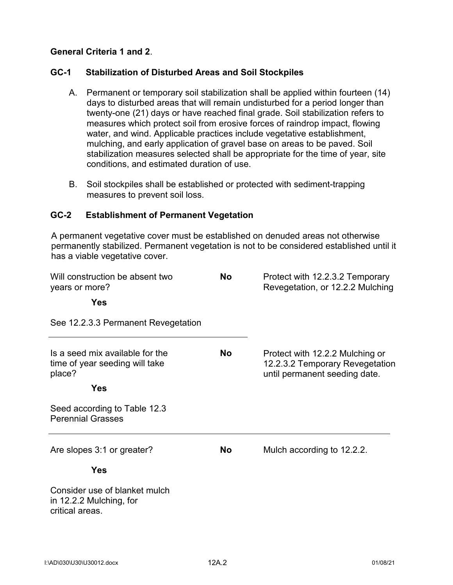## **General Criteria 1 and 2**.

## **GC-1 Stabilization of Disturbed Areas and Soil Stockpiles**

- A. Permanent or temporary soil stabilization shall be applied within fourteen (14) days to disturbed areas that will remain undisturbed for a period longer than twenty-one (21) days or have reached final grade. Soil stabilization refers to measures which protect soil from erosive forces of raindrop impact, flowing water, and wind. Applicable practices include vegetative establishment, mulching, and early application of gravel base on areas to be paved. Soil stabilization measures selected shall be appropriate for the time of year, site conditions, and estimated duration of use.
- B. Soil stockpiles shall be established or protected with sediment-trapping measures to prevent soil loss.

#### **GC-2 Establishment of Permanent Vegetation**

A permanent vegetative cover must be established on denuded areas not otherwise permanently stabilized. Permanent vegetation is not to be considered established until it has a viable vegetative cover.

| Will construction be absent two<br>years or more?                           | <b>No</b> | Protect with 12.2.3.2 Temporary<br>Revegetation, or 12.2.2 Mulching                                 |
|-----------------------------------------------------------------------------|-----------|-----------------------------------------------------------------------------------------------------|
| <b>Yes</b>                                                                  |           |                                                                                                     |
| See 12.2.3.3 Permanent Revegetation                                         |           |                                                                                                     |
| Is a seed mix available for the<br>time of year seeding will take<br>place? | No.       | Protect with 12.2.2 Mulching or<br>12.2.3.2 Temporary Revegetation<br>until permanent seeding date. |
| <b>Yes</b>                                                                  |           |                                                                                                     |
| Seed according to Table 12.3<br><b>Perennial Grasses</b>                    |           |                                                                                                     |
| Are slopes 3:1 or greater?                                                  | <b>No</b> | Mulch according to 12.2.2.                                                                          |
| <b>Yes</b>                                                                  |           |                                                                                                     |
| Consider use of blanket mulch<br>in 12.2.2 Mulching, for<br>critical areas. |           |                                                                                                     |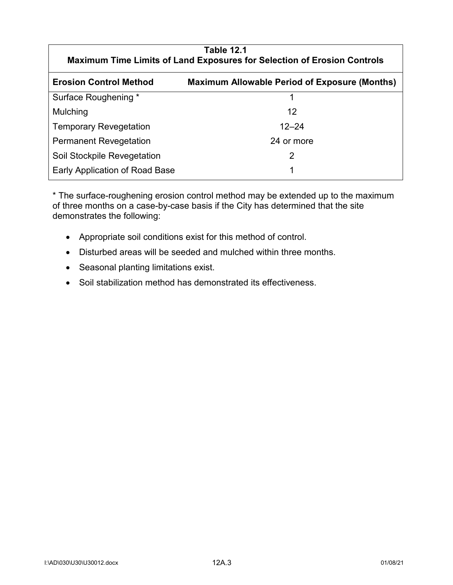| <b>Table 12.1</b><br><b>Maximum Time Limits of Land Exposures for Selection of Erosion Controls</b> |                                                      |  |
|-----------------------------------------------------------------------------------------------------|------------------------------------------------------|--|
| <b>Erosion Control Method</b>                                                                       | <b>Maximum Allowable Period of Exposure (Months)</b> |  |
| Surface Roughening *                                                                                |                                                      |  |
| Mulching                                                                                            | 12                                                   |  |
| <b>Temporary Revegetation</b>                                                                       | $12 - 24$                                            |  |
| <b>Permanent Revegetation</b>                                                                       | 24 or more                                           |  |
| Soil Stockpile Revegetation                                                                         | 2                                                    |  |
| Early Application of Road Base                                                                      |                                                      |  |

\* The surface-roughening erosion control method may be extended up to the maximum of three months on a case-by-case basis if the City has determined that the site demonstrates the following:

- Appropriate soil conditions exist for this method of control.
- Disturbed areas will be seeded and mulched within three months.
- Seasonal planting limitations exist.
- Soil stabilization method has demonstrated its effectiveness.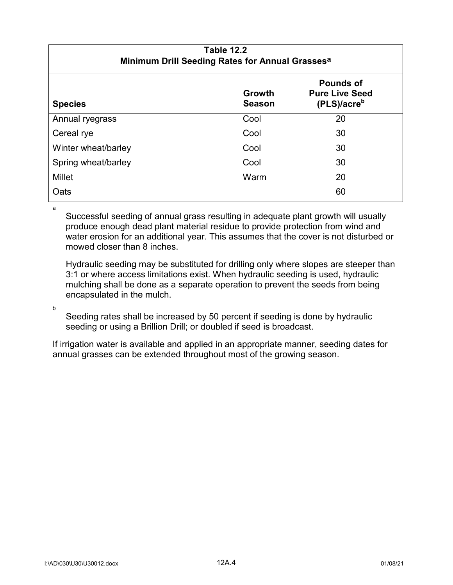| <b>Table 12.2</b><br>Minimum Drill Seeding Rates for Annual Grasses <sup>a</sup> |                                |                                                                      |
|----------------------------------------------------------------------------------|--------------------------------|----------------------------------------------------------------------|
| <b>Species</b>                                                                   | <b>Growth</b><br><b>Season</b> | <b>Pounds of</b><br><b>Pure Live Seed</b><br>(PLS)/acre <sup>b</sup> |
| Annual ryegrass                                                                  | Cool                           | 20                                                                   |
| Cereal rye                                                                       | Cool                           | 30                                                                   |
| Winter wheat/barley                                                              | Cool                           | 30                                                                   |
| Spring wheat/barley                                                              | Cool                           | 30                                                                   |
| <b>Millet</b>                                                                    | Warm                           | 20                                                                   |
| Oats                                                                             |                                | 60                                                                   |

Successful seeding of annual grass resulting in adequate plant growth will usually produce enough dead plant material residue to provide protection from wind and water erosion for an additional year. This assumes that the cover is not disturbed or mowed closer than 8 inches.

Hydraulic seeding may be substituted for drilling only where slopes are steeper than 3:1 or where access limitations exist. When hydraulic seeding is used, hydraulic mulching shall be done as a separate operation to prevent the seeds from being encapsulated in the mulch.

b

a

Seeding rates shall be increased by 50 percent if seeding is done by hydraulic seeding or using a Brillion Drill; or doubled if seed is broadcast.

If irrigation water is available and applied in an appropriate manner, seeding dates for annual grasses can be extended throughout most of the growing season.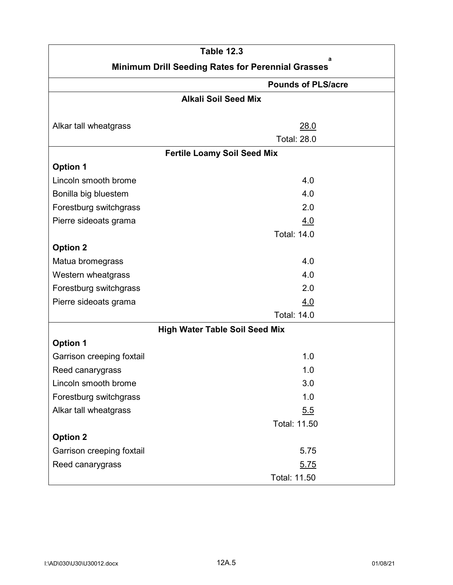|                                                               | <b>Table 12.3</b>                     |  |
|---------------------------------------------------------------|---------------------------------------|--|
| a<br><b>Minimum Drill Seeding Rates for Perennial Grasses</b> |                                       |  |
|                                                               | <b>Pounds of PLS/acre</b>             |  |
|                                                               | <b>Alkali Soil Seed Mix</b>           |  |
|                                                               |                                       |  |
| Alkar tall wheatgrass                                         | 28.0                                  |  |
|                                                               | <b>Total: 28.0</b>                    |  |
|                                                               | <b>Fertile Loamy Soil Seed Mix</b>    |  |
| <b>Option 1</b>                                               |                                       |  |
| Lincoln smooth brome                                          | 4.0                                   |  |
| Bonilla big bluestem                                          | 4.0                                   |  |
| Forestburg switchgrass                                        | 2.0                                   |  |
| Pierre sideoats grama                                         | 4.0                                   |  |
|                                                               | <b>Total: 14.0</b>                    |  |
| <b>Option 2</b>                                               |                                       |  |
| Matua bromegrass                                              | 4.0                                   |  |
| Western wheatgrass                                            | 4.0                                   |  |
| Forestburg switchgrass                                        | 2.0                                   |  |
| Pierre sideoats grama                                         | 4.0                                   |  |
|                                                               | <b>Total: 14.0</b>                    |  |
|                                                               | <b>High Water Table Soil Seed Mix</b> |  |
| <b>Option 1</b>                                               |                                       |  |
| Garrison creeping foxtail                                     | 1.0                                   |  |
| Reed canarygrass                                              | 1.0                                   |  |
| Lincoln smooth brome                                          | 3.0                                   |  |
| Forestburg switchgrass                                        | 1.0                                   |  |
| Alkar tall wheatgrass                                         | 5.5                                   |  |
|                                                               | Total: 11.50                          |  |
| <b>Option 2</b>                                               |                                       |  |
| Garrison creeping foxtail                                     | 5.75                                  |  |
| Reed canarygrass                                              | 5.75                                  |  |
|                                                               | Total: 11.50                          |  |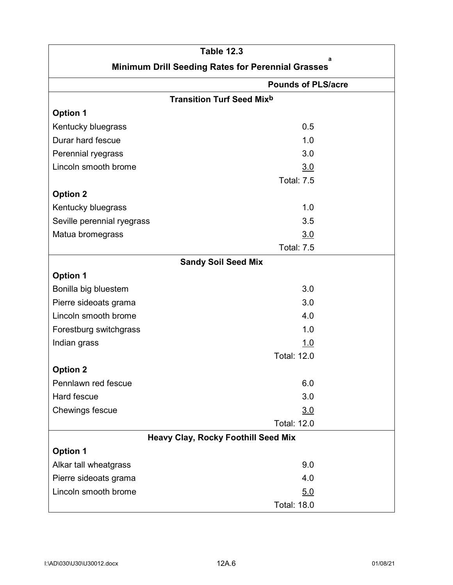| <b>Table 12.3</b>                                      |                                             |  |  |
|--------------------------------------------------------|---------------------------------------------|--|--|
| a<br>Minimum Drill Seeding Rates for Perennial Grasses |                                             |  |  |
|                                                        | <b>Pounds of PLS/acre</b>                   |  |  |
|                                                        | <b>Transition Turf Seed Mix<sup>b</sup></b> |  |  |
| <b>Option 1</b>                                        |                                             |  |  |
| Kentucky bluegrass                                     | 0.5                                         |  |  |
| Durar hard fescue                                      | 1.0                                         |  |  |
| Perennial ryegrass                                     | 3.0                                         |  |  |
| Lincoln smooth brome                                   | 3.0                                         |  |  |
|                                                        | <b>Total: 7.5</b>                           |  |  |
| <b>Option 2</b>                                        |                                             |  |  |
| Kentucky bluegrass                                     | 1.0                                         |  |  |
| Seville perennial ryegrass                             | 3.5                                         |  |  |
| Matua bromegrass                                       | 3.0                                         |  |  |
|                                                        | <b>Total: 7.5</b>                           |  |  |
|                                                        | <b>Sandy Soil Seed Mix</b>                  |  |  |
| <b>Option 1</b>                                        |                                             |  |  |
| Bonilla big bluestem                                   | 3.0                                         |  |  |
| Pierre sideoats grama                                  | 3.0                                         |  |  |
| Lincoln smooth brome                                   | 4.0                                         |  |  |
| Forestburg switchgrass                                 | 1.0                                         |  |  |
| Indian grass                                           | 1.0                                         |  |  |
|                                                        | <b>Total: 12.0</b>                          |  |  |
| <b>Option 2</b>                                        |                                             |  |  |
| Pennlawn red fescue                                    | 6.0                                         |  |  |
| Hard fescue                                            | 3.0                                         |  |  |
| Chewings fescue                                        | 3.0                                         |  |  |
|                                                        | <b>Total: 12.0</b>                          |  |  |
| <b>Heavy Clay, Rocky Foothill Seed Mix</b>             |                                             |  |  |
| <b>Option 1</b>                                        |                                             |  |  |
| Alkar tall wheatgrass                                  | 9.0                                         |  |  |
| Pierre sideoats grama                                  | 4.0                                         |  |  |
| Lincoln smooth brome                                   | 5.0                                         |  |  |
|                                                        | <b>Total: 18.0</b>                          |  |  |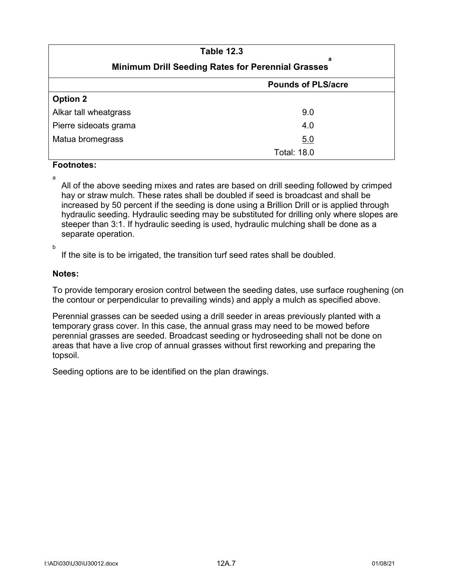| <b>Table 12.3</b>                                             |                           |  |
|---------------------------------------------------------------|---------------------------|--|
| а<br><b>Minimum Drill Seeding Rates for Perennial Grasses</b> |                           |  |
|                                                               | <b>Pounds of PLS/acre</b> |  |
| <b>Option 2</b>                                               |                           |  |
| Alkar tall wheatgrass                                         | 9.0                       |  |
| Pierre sideoats grama                                         | 4.0                       |  |
| Matua bromegrass                                              | 5.0                       |  |
|                                                               | <b>Total: 18.0</b>        |  |

#### **Footnotes:**

a

All of the above seeding mixes and rates are based on drill seeding followed by crimped hay or straw mulch. These rates shall be doubled if seed is broadcast and shall be increased by 50 percent if the seeding is done using a Brillion Drill or is applied through hydraulic seeding. Hydraulic seeding may be substituted for drilling only where slopes are steeper than 3:1. If hydraulic seeding is used, hydraulic mulching shall be done as a separate operation.

b

If the site is to be irrigated, the transition turf seed rates shall be doubled.

#### **Notes:**

To provide temporary erosion control between the seeding dates, use surface roughening (on the contour or perpendicular to prevailing winds) and apply a mulch as specified above.

Perennial grasses can be seeded using a drill seeder in areas previously planted with a temporary grass cover. In this case, the annual grass may need to be mowed before perennial grasses are seeded. Broadcast seeding or hydroseeding shall not be done on areas that have a live crop of annual grasses without first reworking and preparing the topsoil.

Seeding options are to be identified on the plan drawings.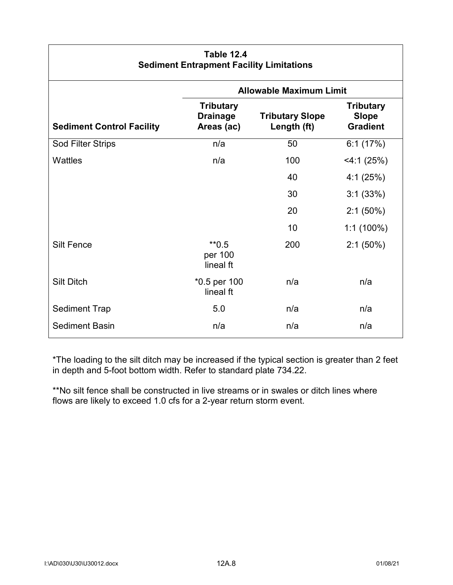| <b>Table 12.4</b><br><b>Sediment Entrapment Facility Limitations</b> |                                                   |                                       |                                                     |
|----------------------------------------------------------------------|---------------------------------------------------|---------------------------------------|-----------------------------------------------------|
|                                                                      | <b>Allowable Maximum Limit</b>                    |                                       |                                                     |
| <b>Sediment Control Facility</b>                                     | <b>Tributary</b><br><b>Drainage</b><br>Areas (ac) | <b>Tributary Slope</b><br>Length (ft) | <b>Tributary</b><br><b>Slope</b><br><b>Gradient</b> |
| Sod Filter Strips                                                    | n/a                                               | 50                                    | 6:1(17%)                                            |
| Wattles                                                              | n/a                                               | 100                                   | $<$ 4:1 (25%)                                       |
|                                                                      |                                                   | 40                                    | 4:1(25%)                                            |
|                                                                      |                                                   | 30                                    | 3:1(33%)                                            |
|                                                                      |                                                   | 20                                    | $2:1(50\%)$                                         |
|                                                                      |                                                   | 10                                    | $1:1(100\%)$                                        |
| <b>Silt Fence</b>                                                    | $*$ *0.5<br>per 100<br>lineal ft                  | 200                                   | $2:1(50\%)$                                         |
| <b>Silt Ditch</b>                                                    | *0.5 per 100<br>lineal ft                         | n/a                                   | n/a                                                 |
| <b>Sediment Trap</b>                                                 | 5.0                                               | n/a                                   | n/a                                                 |
| <b>Sediment Basin</b>                                                | n/a                                               | n/a                                   | n/a                                                 |

\*The loading to the silt ditch may be increased if the typical section is greater than 2 feet in depth and 5-foot bottom width. Refer to standard plate 734.22.

\*\*No silt fence shall be constructed in live streams or in swales or ditch lines where flows are likely to exceed 1.0 cfs for a 2-year return storm event.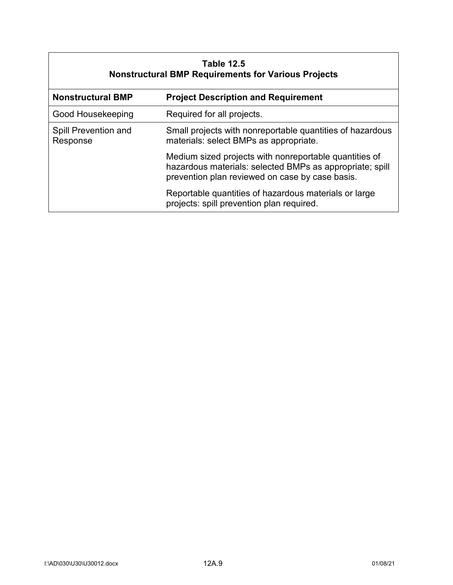| <b>Table 12.5</b><br><b>Nonstructural BMP Requirements for Various Projects</b> |                                                                                                                                                                       |  |
|---------------------------------------------------------------------------------|-----------------------------------------------------------------------------------------------------------------------------------------------------------------------|--|
| <b>Nonstructural BMP</b>                                                        | <b>Project Description and Requirement</b>                                                                                                                            |  |
| Good Housekeeping                                                               | Required for all projects.                                                                                                                                            |  |
| Spill Prevention and<br>Response                                                | Small projects with nonreportable quantities of hazardous<br>materials: select BMPs as appropriate.                                                                   |  |
|                                                                                 | Medium sized projects with nonreportable quantities of<br>hazardous materials: selected BMPs as appropriate; spill<br>prevention plan reviewed on case by case basis. |  |
|                                                                                 | Reportable quantities of hazardous materials or large<br>projects: spill prevention plan required.                                                                    |  |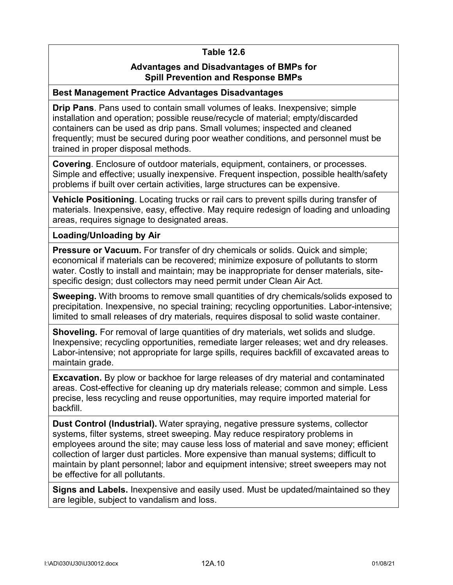# **Table 12.6**

## **Advantages and Disadvantages of BMPs for Spill Prevention and Response BMPs**

#### **Best Management Practice Advantages Disadvantages**

**Drip Pans**. Pans used to contain small volumes of leaks. Inexpensive; simple installation and operation; possible reuse/recycle of material; empty/discarded containers can be used as drip pans. Small volumes; inspected and cleaned frequently; must be secured during poor weather conditions, and personnel must be trained in proper disposal methods.

**Covering**. Enclosure of outdoor materials, equipment, containers, or processes. Simple and effective; usually inexpensive. Frequent inspection, possible health/safety problems if built over certain activities, large structures can be expensive.

**Vehicle Positioning**. Locating trucks or rail cars to prevent spills during transfer of materials. Inexpensive, easy, effective. May require redesign of loading and unloading areas, requires signage to designated areas.

#### **Loading/Unloading by Air**

**Pressure or Vacuum.** For transfer of dry chemicals or solids. Quick and simple; economical if materials can be recovered; minimize exposure of pollutants to storm water. Costly to install and maintain; may be inappropriate for denser materials, sitespecific design; dust collectors may need permit under Clean Air Act.

**Sweeping.** With brooms to remove small quantities of dry chemicals/solids exposed to precipitation. Inexpensive, no special training; recycling opportunities. Labor-intensive; limited to small releases of dry materials, requires disposal to solid waste container.

**Shoveling.** For removal of large quantities of dry materials, wet solids and sludge. Inexpensive; recycling opportunities, remediate larger releases; wet and dry releases. Labor-intensive; not appropriate for large spills, requires backfill of excavated areas to maintain grade.

**Excavation.** By plow or backhoe for large releases of dry material and contaminated areas. Cost-effective for cleaning up dry materials release; common and simple. Less precise, less recycling and reuse opportunities, may require imported material for backfill.

**Dust Control (Industrial).** Water spraying, negative pressure systems, collector systems, filter systems, street sweeping. May reduce respiratory problems in employees around the site; may cause less loss of material and save money; efficient collection of larger dust particles. More expensive than manual systems; difficult to maintain by plant personnel; labor and equipment intensive; street sweepers may not be effective for all pollutants.

**Signs and Labels.** Inexpensive and easily used. Must be updated/maintained so they are legible, subject to vandalism and loss.